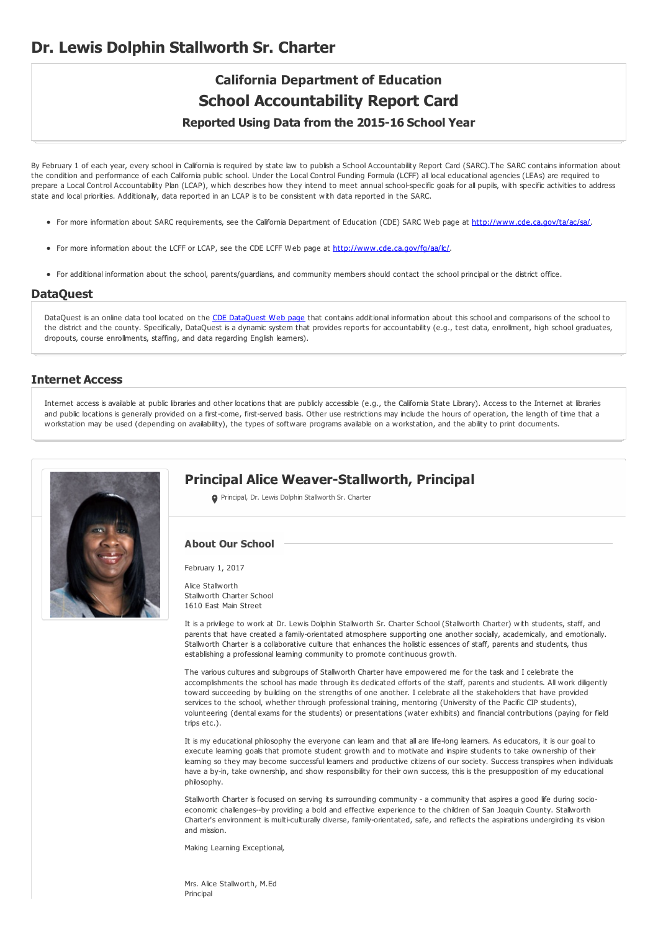# **Dr. Lewis Dolphin Stallworth Sr. Charter**

# **California Department of Education School Accountability Report Card Reported Using Data from the 2015-16 School Year**

By February 1 of each year, every school in California is required by state law to publish a School Accountability Report Card (SARC).The SARC contains information about the condition and performance of each California public school. Under the Local Control Funding Formula (LCFF) all local educational agencies (LEAs) are required to prepare a Local Control Accountability Plan (LCAP), which describes how they intend to meet annual school-specific goals for all pupils, with specific activities to address state and local priorities. Additionally, data reported in an LCAP is to be consistent with data reported in the SARC.

- For more information about SARC requirements, see the California Department of Education (CDE) SARC Web page at <http://www.cde.ca.gov/ta/ac/sa/>.
- For more information about the LCFF or LCAP, see the CDE LCFF Web page at <http://www.cde.ca.gov/fg/aa/lc/>.
- For additional information about the school, parents/guardians, and community members should contact the school principal or the district office.

### **DataQuest**

[DataQuest](http://dq.cde.ca.gov/dataquest/) is an online data tool located on the CDE DataQuest Web page that contains additional information about this school and comparisons of the school to the district and the county. Specifically, DataQuest is a dynamic system that provides reports for accountability (e.g., test data, enrollment, high school graduates, dropouts, course enrollments, staffing, and data regarding English learners).

# **Internet Access**

Internet access is available at public libraries and other locations that are publicly accessible (e.g., the California State Library). Access to the Internet at libraries and public locations is generally provided on a first-come, first-served basis. Other use restrictions may include the hours of operation, the length of time that a workstation may be used (depending on availability), the types of software programs available on a workstation, and the ability to print documents.



# **Principal Alice Weaver-Stallworth, Principal**

**O** Principal, Dr. Lewis Dolphin Stallworth Sr. Charter

# **About Our School**

February 1, 2017

Alice Stallworth Stallworth Charter School 1610 East Main Street

It is a privilege to work at Dr. Lewis Dolphin Stallworth Sr. Charter School (Stallworth Charter) with students, staff, and parents that have created a family-orientated atmosphere supporting one another socially, academically, and emotionally. Stallworth Charter is a collaborative culture that enhances the holistic essences of staff, parents and students, thus establishing a professional learning community to promote continuous growth.

The various cultures and subgroups of Stallworth Charter have empowered me for the task and I celebrate the accomplishments the school has made through its dedicated efforts of the staff, parents and students. All work diligently toward succeeding by building on the strengths of one another. I celebrate all the stakeholders that have provided services to the school, whether through professional training, mentoring (University of the Pacific CIP students), volunteering (dental exams for the students) or presentations (water exhibits) and financial contributions (paying for field trips etc.).

It is my educational philosophy the everyone can learn and that all are life-long learners. As educators, it is our goal to execute learning goals that promote student growth and to motivate and inspire students to take ownership of their learning so they may become successful learners and productive citizens of our society. Success transpires when individuals have a by-in, take ownership, and show responsibility for their own success, this is the presupposition of my educational philosophy.

Stallworth Charter is focused on serving its surrounding community - a community that aspires a good life during socioeconomic challenges--by providing a bold and effective experience to the children of San Joaquin County. Stallworth Charter's environment is multi-culturally diverse, family-orientated, safe, and reflects the aspirations undergirding its vision and mission.

Making Learning Exceptional,

Mrs. Alice Stallworth, M.Ed Principal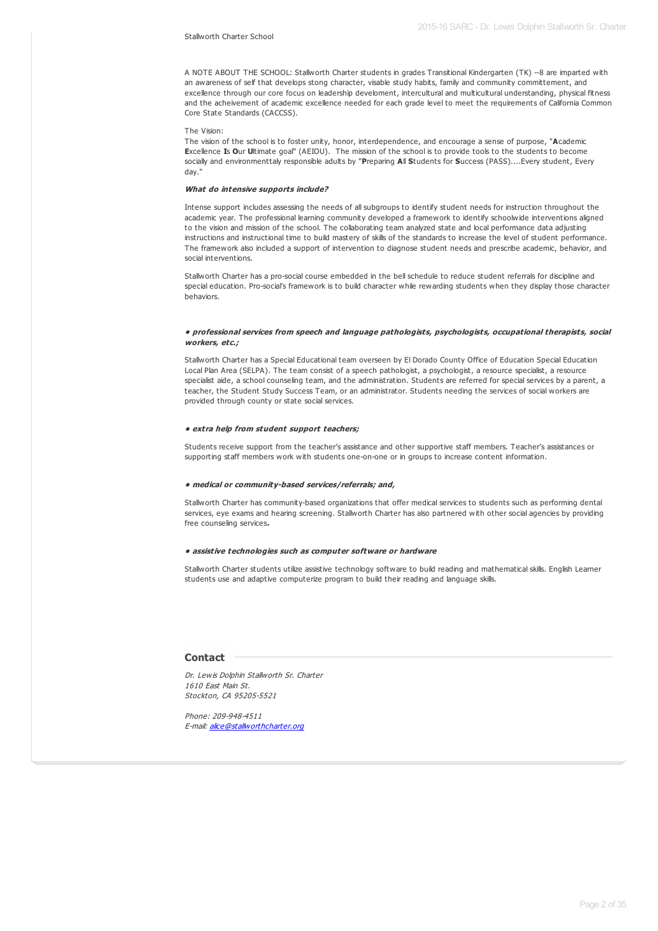#### Stallworth Charter School

A NOTE ABOUT THE SCHOOL: Stallworth Charter students in grades Transitional Kindergarten (TK) --8 are imparted with an awareness of self that develops stong character, visable study habits, family and community committement, and excellence through our core focus on leadership develoment, intercultural and multicultural understanding, physical fitness and the acheivement of academic excellence needed for each grade level to meet the requirements of California Common Core State Standards (CACCSS).

#### The Vision:

The vision of the school is to foster unity, honor, interdependence, and encourage a sense of purpose, "**A**cademic **E**xcellence **I**s **O**ur **U**ltimate goal" (AEIOU). The mission of the school is to provide tools to the students to become socially and environmenttaly responsible adults by "**P**reparing **A**ll **S**tudents for **S**uccess (PASS)....Every student, Every day."

#### **What do intensive supports include?**

Intense support includes assessing the needs of all subgroups to identify student needs for instruction throughout the academic year. The professional learning community developed a framework to identify schoolwide interventions aligned to the vision and mission of the school. The collaborating team analyzed state and local performance data adjusting instructions and instructional time to build mastery of skills of the standards to increase the level of student performance. The framework also included a support of intervention to diagnose student needs and prescribe academic, behavior, and social interventions.

Stallworth Charter has a pro-social course embedded in the bell schedule to reduce student referrals for discipline and special education. Pro-social's framework is to build character while rewarding students when they display those character behaviors.

#### **• professional services from speech and language pathologists, psychologists, occupational therapists, social workers, etc.;**

Stallworth Charter has a Special Educational team overseen by El Dorado County Office of Education Special Education Local Plan Area (SELPA). The team consist of a speech pathologist, a psychologist, a resource specialist, a resource specialist aide, a school counseling team, and the administration. Students are referred for special services by a parent, a teacher, the Student Study Success Team, or an administrator. Students needing the services of social workers are provided through county or state social services.

#### **• extra help from student support teachers;**

Students receive support from the teacher's assistance and other supportive staff members. Teacher's assistances or supporting staff members work with students one-on-one or in groups to increase content information.

#### **• medical or community-based services/referrals; and,**

Stallworth Charter has community-based organizations that offer medical services to students such as performing dental services, eye exams and hearing screening. Stallworth Charter has also partnered with other social agencies by providing free counseling services**.**

#### **• assistive technologies such as computer software or hardware**

Stallworth Charter students utilize assistive technology software to build reading and mathematical skills. English Learner students use and adaptive computerize program to build their reading and language skills.

#### **Contact**

Dr. Lewis Dolphin Stallworth Sr. Charter 1610 East Main St. Stockton, CA 95205-5521

Phone: 209-948-4511 E-mail: [alice@stallworthcharter.org](mailto:alice@stallworthcharter.org)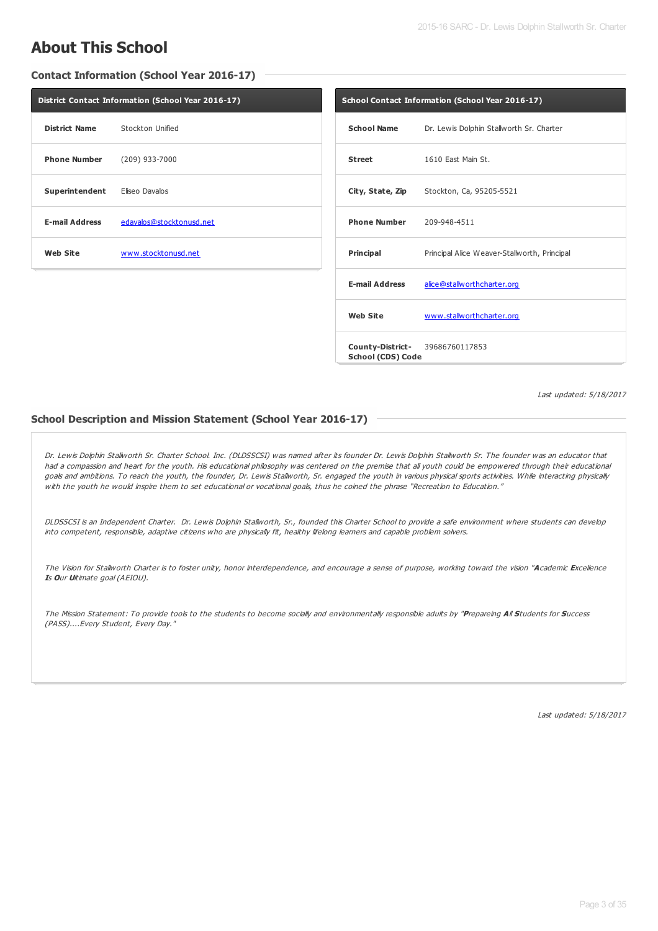# **About This School**

# **Contact Information (School Year 2016-17)**

| District Contact Information (School Year 2016-17) |                          |                |
|----------------------------------------------------|--------------------------|----------------|
| District Name                                      | Stockton Unified         | School         |
| <b>Phone Number</b>                                | (209) 933-7000           | <b>Street</b>  |
| Superintendent Eliseo Davalos                      |                          | City, St       |
| <b>E-mail Address</b>                              | edavalos@stocktonusd.net | Phone          |
| Web Site                                           | www.stocktonusd.net      | <b>Princip</b> |
|                                                    |                          |                |

| School Contact Information (School Year 2016-17) |                                              |  |  |  |
|--------------------------------------------------|----------------------------------------------|--|--|--|
| <b>School Name</b>                               | Dr. Lewis Dolphin Stallworth Sr. Charter     |  |  |  |
| <b>Street</b>                                    | 1610 East Main St.                           |  |  |  |
| City, State, Zip                                 | Stockton, Ca, 95205-5521                     |  |  |  |
| <b>Phone Number</b> 209-948-4511                 |                                              |  |  |  |
| <b>Principal</b>                                 | Principal Alice Weaver-Stallworth, Principal |  |  |  |
| <b>E-mail Address</b>                            | alice@stallworthcharter.org                  |  |  |  |
| <b>Web Site</b>                                  | www.stallworthcharter.org                    |  |  |  |
| School (CDS) Code                                | <b>County-District-</b> 39686760117853       |  |  |  |

Last updated: 5/18/2017

# **School Description and Mission Statement (School Year 2016-17)**

Dr. Lewis Dolphin Stallworth Sr. Charter School. Inc. (DLDSSCSI) was named after its founder Dr. Lewis Dolphin Stallworth Sr. The founder was an educator that had <sup>a</sup> compassion and heart for the youth. His educational philosophy was centered on the premise that all youth could be empowered through their educational goals and ambitions. To reach the youth, the founder, Dr. Lewis Stallworth, Sr. engaged the youth in various physical sports activities. While interacting physically with the youth he would inspire them to set educational or vocational goals, thus he coined the phrase "Recreation to Education."

DLDSSCSI is an Independent Charter. Dr. Lewis Dolphin Stallworth, Sr., founded this Charter School to provide <sup>a</sup> safe environment where students can develop into competent, responsible, adaptive citizens who are physically fit, healthy lifelong learners and capable problem solvers.

The Vision for Stallworth Charter is to foster unity, honor interdependence, and encourage <sup>a</sup> sense of purpose, working toward the vision "**A**cademic **E**xcellence **I**<sup>s</sup> **O**ur **U**ltimate goal (AEIOU).

The Mission Statement: To provide tools to the students to become socially and environmentally responsible adults by "**P**repareing **A**ll **S**tudents for **S**uccess (PASS)....Every Student, Every Day."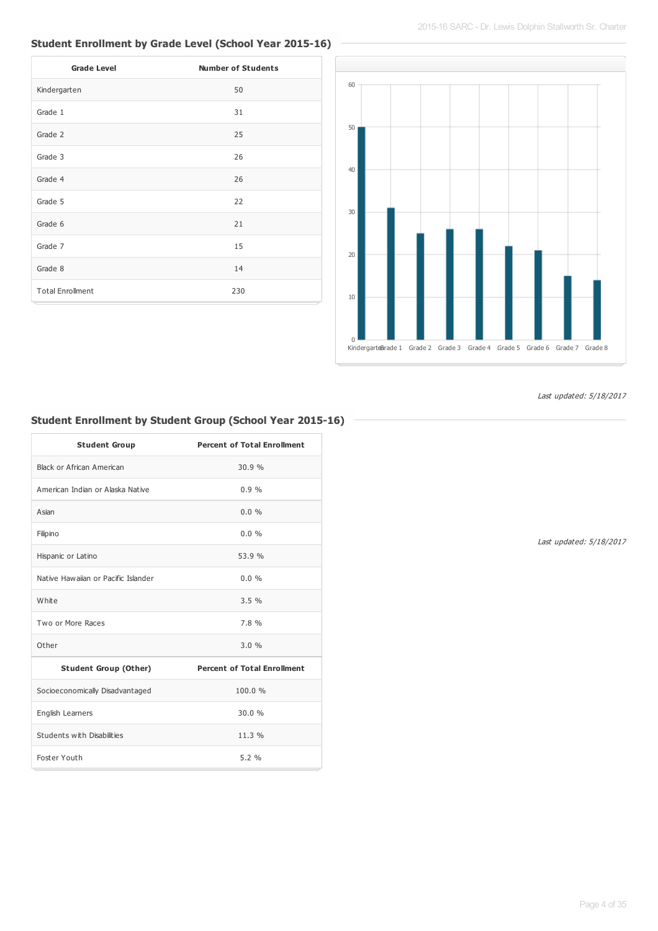# **Student Enrollment by Grade Level (School Year 2015-16)**

| <b>Grade Level</b>      | <b>Number of Students</b> |
|-------------------------|---------------------------|
| Kindergarten            | 50                        |
| Grade 1                 | 31                        |
| Grade 2                 | 25                        |
| Grade 3                 | 26                        |
| Grade 4                 | 26                        |
| Grade 5                 | 22                        |
| Grade 6                 | 21                        |
| Grade 7                 | 15                        |
| Grade 8                 | 14                        |
| <b>Total Enrollment</b> | 230                       |



Last updated: 5/18/2017

# **Student Enrollment by Student Group (School Year 2015-16)**

| <b>Student Group</b>                | <b>Percent of Total Enrollment</b> |
|-------------------------------------|------------------------------------|
| Black or African American           | 30.9%                              |
| American Indian or Alaska Native    | 0.9%                               |
| Asian                               | $0.0\%$                            |
| Filipino                            | $0.0\%$                            |
| Hispanic or Latino                  | 53.9 %                             |
| Native Hawaiian or Pacific Islander | $0.0\%$                            |
| White                               | 3.5%                               |
| Two or More Races                   | 7.8%                               |
| Other                               | 3.0%                               |
| <b>Student Group (Other)</b>        | <b>Percent of Total Enrollment</b> |
| Socioeconomically Disadvantaged     | 100.0%                             |
| English Learners                    | 30.0%                              |
| Students with Disabilities          | 11.3%                              |
| Foster Youth                        | 5.2%                               |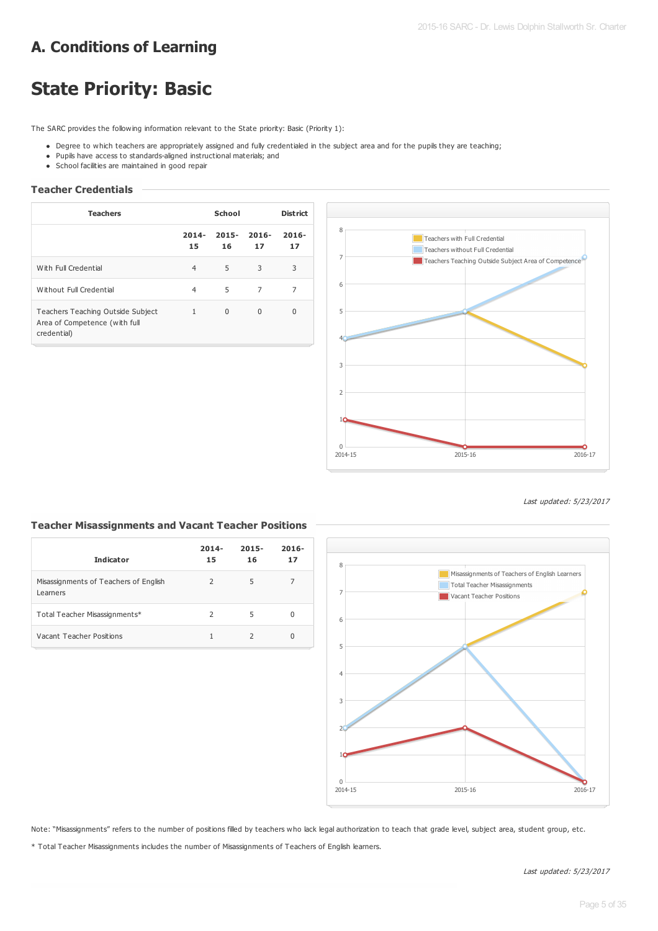# **A. Conditions of Learning**

# **State Priority: Basic**

The SARC provides the following information relevant to the State priority: Basic (Priority 1):

- Degree to which teachers are appropriately assigned and fully credentialed in the subject area and for the pupils they are teaching;
- Pupils have access to standards-aligned instructional materials; and
- School facilities are maintained in good repair

# **Teacher Credentials**

| <b>Teachers</b>                                                                   | School         |                |                | <b>District</b> |
|-----------------------------------------------------------------------------------|----------------|----------------|----------------|-----------------|
|                                                                                   | $2014 -$<br>15 | $2015 -$<br>16 | $2016 -$<br>17 | $2016 -$<br>17  |
| With Full Credential                                                              | $\overline{4}$ | 5              | 3              | 3               |
| Without Full Credential                                                           | 4              | 5              | $\overline{7}$ | 7               |
| Teachers Teaching Outside Subject<br>Area of Competence (with full<br>credential) | $\mathbf{1}$   | $\Omega$       | $\Omega$       | 0               |



Last updated: 5/23/2017

# **Teacher Misassignments and Vacant Teacher Positions**

| <b>Indicator</b>                                  | $2014 -$<br>15 | $2015 -$<br>16 | $2016 -$<br>17 |
|---------------------------------------------------|----------------|----------------|----------------|
| Misassignments of Teachers of English<br>Learners | $\mathcal{P}$  | 5              |                |
| Total Teacher Misassignments*                     | $\mathcal{P}$  | 5              | 0              |
| Vacant Teacher Positions                          |                |                | <sup>0</sup>   |



Note: "Misassignments" refers to the number of positions filled by teachers who lack legal authorization to teach that grade level, subject area, student group, etc.

\* Total Teacher Misassignments includes the number of Misassignments of Teachers of English learners.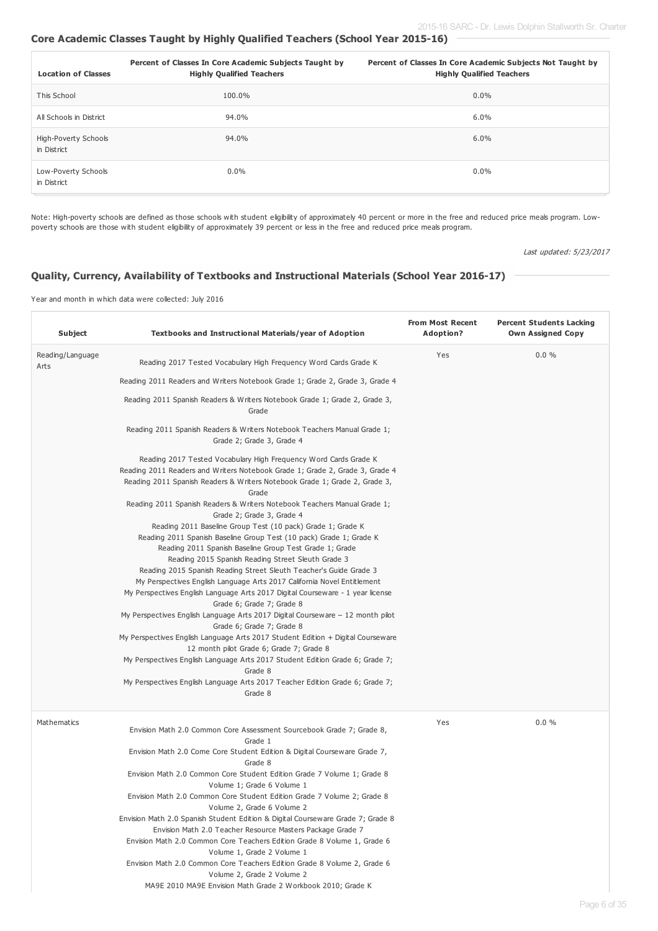# **Core Academic Classes Taught by Highly Qualified Teachers (School Year 2015-16)**

| <b>Location of Classes</b>          | Percent of Classes In Core Academic Subjects Taught by<br><b>Highly Qualified Teachers</b> | Percent of Classes In Core Academic Subjects Not Taught by<br><b>Highly Qualified Teachers</b> |
|-------------------------------------|--------------------------------------------------------------------------------------------|------------------------------------------------------------------------------------------------|
| This School                         | 100.0%                                                                                     | $0.0\%$                                                                                        |
| All Schools in District             | 94.0%                                                                                      | 6.0%                                                                                           |
| High-Poverty Schools<br>in District | 94.0%                                                                                      | 6.0%                                                                                           |
| Low-Poverty Schools<br>in District  | $0.0\%$                                                                                    | $0.0\%$                                                                                        |

Note: High-poverty schools are defined as those schools with student eligibility of approximately 40 percent or more in the free and reduced price meals program. Lowpoverty schools are those with student eligibility of approximately 39 percent or less in the free and reduced price meals program.

Last updated: 5/23/2017

# **Quality, Currency, Availability of Textbooks and Instructional Materials (School Year 2016-17)**

Year and month in which data were collected: July 2016

| Textbooks and Instructional Materials/year of Adoption                                                                                                                                                                                                                                                                                                                                                                                                                                                                                                                                                                                                                                                                                                                                                                                                                                                                                                                                                                                                                                                                                                                                                                                                                                                       | <b>From Most Recent</b><br>Adoption?                        | <b>Percent Students Lacking</b><br><b>Own Assigned Copy</b> |
|--------------------------------------------------------------------------------------------------------------------------------------------------------------------------------------------------------------------------------------------------------------------------------------------------------------------------------------------------------------------------------------------------------------------------------------------------------------------------------------------------------------------------------------------------------------------------------------------------------------------------------------------------------------------------------------------------------------------------------------------------------------------------------------------------------------------------------------------------------------------------------------------------------------------------------------------------------------------------------------------------------------------------------------------------------------------------------------------------------------------------------------------------------------------------------------------------------------------------------------------------------------------------------------------------------------|-------------------------------------------------------------|-------------------------------------------------------------|
| Reading 2017 Tested Vocabulary High Frequency Word Cards Grade K                                                                                                                                                                                                                                                                                                                                                                                                                                                                                                                                                                                                                                                                                                                                                                                                                                                                                                                                                                                                                                                                                                                                                                                                                                             | Yes                                                         | $0.0 \%$                                                    |
| Reading 2011 Readers and Writers Notebook Grade 1; Grade 2, Grade 3, Grade 4                                                                                                                                                                                                                                                                                                                                                                                                                                                                                                                                                                                                                                                                                                                                                                                                                                                                                                                                                                                                                                                                                                                                                                                                                                 |                                                             |                                                             |
| Reading 2011 Spanish Readers & Writers Notebook Grade 1; Grade 2, Grade 3,<br>Grade                                                                                                                                                                                                                                                                                                                                                                                                                                                                                                                                                                                                                                                                                                                                                                                                                                                                                                                                                                                                                                                                                                                                                                                                                          |                                                             |                                                             |
| Reading 2011 Spanish Readers & Writers Notebook Teachers Manual Grade 1;<br>Grade 2; Grade 3, Grade 4                                                                                                                                                                                                                                                                                                                                                                                                                                                                                                                                                                                                                                                                                                                                                                                                                                                                                                                                                                                                                                                                                                                                                                                                        |                                                             |                                                             |
| Reading 2017 Tested Vocabulary High Frequency Word Cards Grade K<br>Reading 2011 Readers and Writers Notebook Grade 1; Grade 2, Grade 3, Grade 4<br>Reading 2011 Spanish Readers & Writers Notebook Grade 1; Grade 2, Grade 3,<br>Grade<br>Reading 2011 Spanish Readers & Writers Notebook Teachers Manual Grade 1;<br>Grade 2; Grade 3, Grade 4<br>Reading 2011 Baseline Group Test (10 pack) Grade 1; Grade K<br>Reading 2011 Spanish Baseline Group Test (10 pack) Grade 1; Grade K<br>Reading 2011 Spanish Baseline Group Test Grade 1; Grade<br>Reading 2015 Spanish Reading Street Sleuth Grade 3<br>Reading 2015 Spanish Reading Street Sleuth Teacher's Guide Grade 3<br>My Perspectives English Language Arts 2017 California Novel Entitlement<br>My Perspectives English Language Arts 2017 Digital Courseware - 1 year license<br>Grade 6; Grade 7; Grade 8<br>My Perspectives English Language Arts 2017 Digital Courseware $-12$ month pilot<br>Grade 6; Grade 7; Grade 8<br>My Perspectives English Language Arts 2017 Student Edition + Digital Courseware<br>12 month pilot Grade 6; Grade 7; Grade 8<br>My Perspectives English Language Arts 2017 Student Edition Grade 6; Grade 7;<br>Grade 8<br>My Perspectives English Language Arts 2017 Teacher Edition Grade 6; Grade 7;<br>Grade 8 |                                                             |                                                             |
| Envision Math 2.0 Common Core Assessment Sourcebook Grade 7; Grade 8,<br>Grade 1<br>Envision Math 2.0 Come Core Student Edition & Digital Courseware Grade 7,<br>Grade 8<br>Envision Math 2.0 Common Core Student Edition Grade 7 Volume 1; Grade 8<br>Volume 1; Grade 6 Volume 1<br>Envision Math 2.0 Common Core Student Edition Grade 7 Volume 2; Grade 8<br>Volume 2, Grade 6 Volume 2<br>Envision Math 2.0 Spanish Student Edition & Digital Courseware Grade 7; Grade 8<br>Envision Math 2.0 Teacher Resource Masters Package Grade 7<br>Envision Math 2.0 Common Core Teachers Edition Grade 8 Volume 1, Grade 6<br>Volume 1, Grade 2 Volume 1<br>Envision Math 2.0 Common Core Teachers Edition Grade 8 Volume 2, Grade 6<br>Volume 2, Grade 2 Volume 2                                                                                                                                                                                                                                                                                                                                                                                                                                                                                                                                              | Yes                                                         | 0.0%                                                        |
|                                                                                                                                                                                                                                                                                                                                                                                                                                                                                                                                                                                                                                                                                                                                                                                                                                                                                                                                                                                                                                                                                                                                                                                                                                                                                                              | MA9E 2010 MA9E Envision Math Grade 2 Workbook 2010; Grade K |                                                             |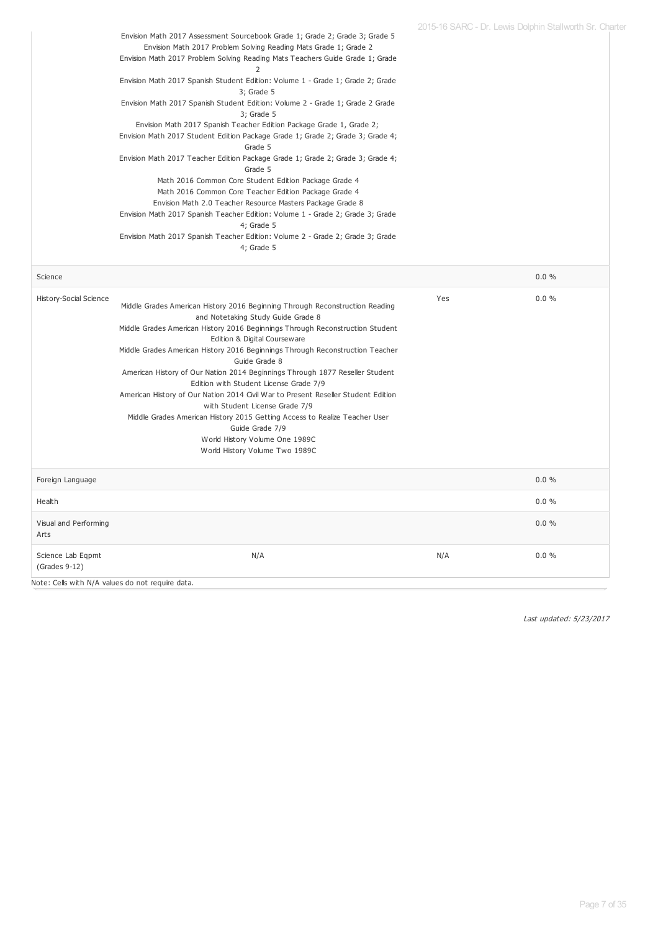|                        |                                                                                                                                                                                                                                  |     | 2015-16 SARC - Dr. Lewis Dolphin Stallworth Sr. Charter |
|------------------------|----------------------------------------------------------------------------------------------------------------------------------------------------------------------------------------------------------------------------------|-----|---------------------------------------------------------|
|                        | Envision Math 2017 Assessment Sourcebook Grade 1; Grade 2; Grade 3; Grade 5<br>Envision Math 2017 Problem Solving Reading Mats Grade 1; Grade 2<br>Envision Math 2017 Problem Solving Reading Mats Teachers Guide Grade 1; Grade |     |                                                         |
|                        | 2                                                                                                                                                                                                                                |     |                                                         |
|                        | Envision Math 2017 Spanish Student Edition: Volume 1 - Grade 1; Grade 2; Grade<br>$3$ ; Grade $5$                                                                                                                                |     |                                                         |
|                        | Envision Math 2017 Spanish Student Edition: Volume 2 - Grade 1; Grade 2 Grade<br>3; Grade 5                                                                                                                                      |     |                                                         |
|                        | Envision Math 2017 Spanish Teacher Edition Package Grade 1, Grade 2;<br>Envision Math 2017 Student Edition Package Grade 1; Grade 2; Grade 3; Grade 4;<br>Grade 5                                                                |     |                                                         |
|                        | Envision Math 2017 Teacher Edition Package Grade 1; Grade 2; Grade 3; Grade 4;<br>Grade 5                                                                                                                                        |     |                                                         |
|                        | Math 2016 Common Core Student Edition Package Grade 4<br>Math 2016 Common Core Teacher Edition Package Grade 4                                                                                                                   |     |                                                         |
|                        | Envision Math 2.0 Teacher Resource Masters Package Grade 8<br>Envision Math 2017 Spanish Teacher Edition: Volume 1 - Grade 2; Grade 3; Grade                                                                                     |     |                                                         |
|                        | 4; Grade 5<br>Envision Math 2017 Spanish Teacher Edition: Volume 2 - Grade 2; Grade 3; Grade                                                                                                                                     |     |                                                         |
|                        | 4; Grade 5                                                                                                                                                                                                                       |     |                                                         |
| Science                |                                                                                                                                                                                                                                  |     | 0.0%                                                    |
| History-Social Science |                                                                                                                                                                                                                                  | Yes | 0.0%                                                    |
|                        | Middle Grades American History 2016 Beginning Through Reconstruction Reading                                                                                                                                                     |     |                                                         |
|                        | and Notetaking Study Guide Grade 8                                                                                                                                                                                               |     |                                                         |
|                        | Middle Grades American History 2016 Beginnings Through Reconstruction Student                                                                                                                                                    |     |                                                         |
|                        | Edition & Digital Courseware                                                                                                                                                                                                     |     |                                                         |
|                        | Middle Grades American History 2016 Beginnings Through Reconstruction Teacher                                                                                                                                                    |     |                                                         |
|                        | Guide Grade 8                                                                                                                                                                                                                    |     |                                                         |
|                        | American History of Our Nation 2014 Beginnings Through 1877 Reseller Student                                                                                                                                                     |     |                                                         |
|                        | Edition with Student License Grade 7/9                                                                                                                                                                                           |     |                                                         |
|                        | American History of Our Nation 2014 Civil War to Present Reseller Student Edition                                                                                                                                                |     |                                                         |
|                        | with Student License Grade 7/9                                                                                                                                                                                                   |     |                                                         |
|                        | Middle Grades American History 2015 Getting Access to Realize Teacher User                                                                                                                                                       |     |                                                         |
|                        | Guide Grade 7/9                                                                                                                                                                                                                  |     |                                                         |
|                        | World History Volume One 1989C                                                                                                                                                                                                   |     |                                                         |
|                        | World History Volume Two 1989C                                                                                                                                                                                                   |     |                                                         |
| Foreign Language       |                                                                                                                                                                                                                                  |     | 0.0%                                                    |
| Health                 |                                                                                                                                                                                                                                  |     | 0.0%                                                    |
| Visual and Performing  |                                                                                                                                                                                                                                  |     | 0.0%                                                    |
| Arts                   |                                                                                                                                                                                                                                  |     |                                                         |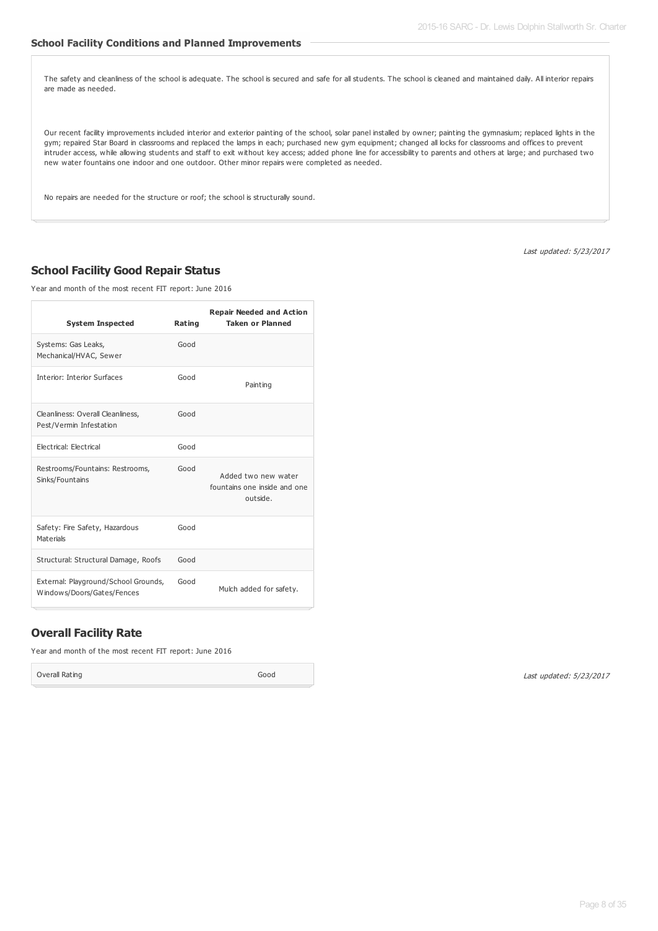### **School Facility Conditions and Planned Improvements**

The safety and cleanliness of the school is adequate. The school is secured and safe for all students. The school is cleaned and maintained daily. All interior repairs are made as needed.

Our recent facility improvements included interior and exterior painting of the school, solar panel installed by owner; painting the gymnasium; replaced lights in the gym; repaired Star Board in classrooms and replaced the lamps in each; purchased new gym equipment; changed all locks for classrooms and offices to prevent intruder access, while allowing students and staff to exit without key access; added phone line for accessibility to parents and others at large; and purchased two new water fountains one indoor and one outdoor. Other minor repairs were completed as needed.

No repairs are needed for the structure or roof; the school is structurally sound.

Last updated: 5/23/2017

# **School Facility Good Repair Status**

Year and month of the most recent FIT report: June 2016

| <b>System Inspected</b>                                            | Rating | <b>Repair Needed and Action</b><br><b>Taken or Planned</b>      |
|--------------------------------------------------------------------|--------|-----------------------------------------------------------------|
| Systems: Gas Leaks,<br>Mechanical/HVAC, Sewer                      | Good   |                                                                 |
| <b>Interior: Interior Surfaces</b>                                 | Good   | Painting                                                        |
| Cleanliness: Overall Cleanliness,<br>Pest/Vermin Infestation       | Good   |                                                                 |
| Electrical: Electrical                                             | Good   |                                                                 |
| Restrooms/Fountains: Restrooms,<br>Sinks/Fountains                 | Good   | Added two new water<br>fountains one inside and one<br>outside. |
| Safety: Fire Safety, Hazardous<br>Materials                        | Good   |                                                                 |
| Structural: Structural Damage, Roofs                               | Good   |                                                                 |
| External: Playground/School Grounds,<br>Windows/Doors/Gates/Fences | Good   | Mulch added for safety.                                         |

# **Overall Facility Rate**

Year and month of the most recent FIT report: June 2016

Overall Rating Good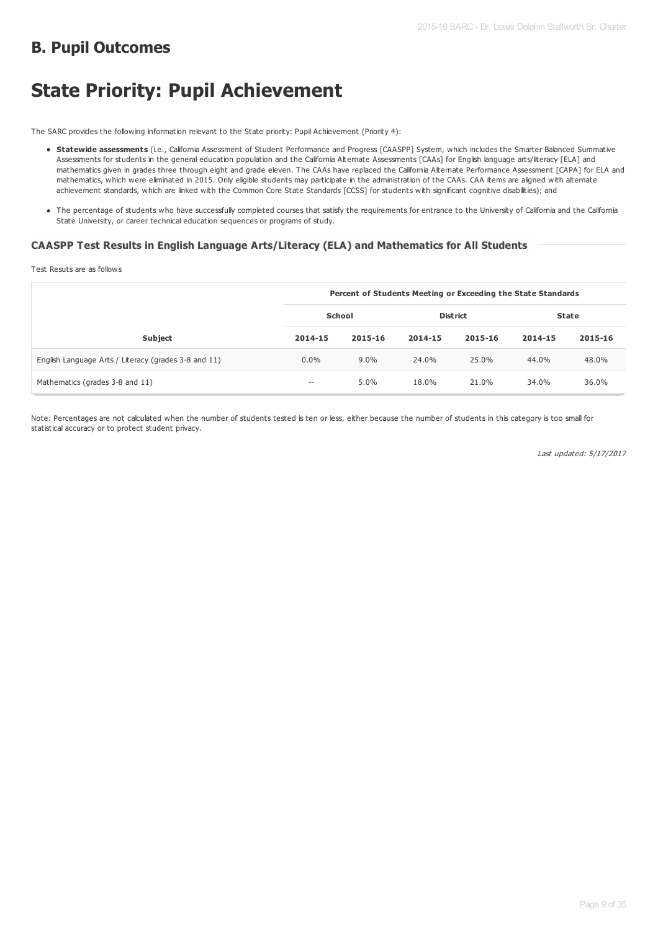# **B. Pupil Outcomes**

# **State Priority: Pupil Achievement**

The SARC provides the following information relevant to the State priority: Pupil Achievement (Priority 4):

- **Statewide assessments** (i.e., California Assessment of Student Performance and Progress [CAASPP] System, which includes the Smarter Balanced Summative Assessments for students in the general education population and the California Alternate Assessments [CAAs] for English language arts/literacy [ELA] and mathematics given in grades three through eight and grade eleven. The CAAs have replaced the California Alternate Performance Assessment [CAPA] for ELA and mathematics, which were eliminated in 2015. Only eligible students may participate in the administration of the CAAs. CAA items are aligned with alternate achievement standards, which are linked with the Common Core State Standards [CCSS] for students with significant cognitive disabilities); and
- The percentage of students who have successfully completed courses that satisfy the requirements for entrance to the University of California and the California State University, or career technical education sequences or programs of study.

# **CAASPP Test Results in English Language Arts/Literacy (ELA) and Mathematics for All Students**

Test Resuts are as follows

|                                                      | Percent of Students Meeting or Exceeding the State Standards |         |                 |         |         |         |
|------------------------------------------------------|--------------------------------------------------------------|---------|-----------------|---------|---------|---------|
|                                                      | School                                                       |         | <b>District</b> |         | State   |         |
| <b>Subject</b>                                       | 2014-15                                                      | 2015-16 | 2014-15         | 2015-16 | 2014-15 | 2015-16 |
| English Language Arts / Literacy (grades 3-8 and 11) | $0.0\%$                                                      | $9.0\%$ | 24.0%           | 25.0%   | 44.0%   | 48.0%   |
| Mathematics (grades 3-8 and 11)                      | --                                                           | 5.0%    | 18.0%           | 21.0%   | 34.0%   | 36.0%   |

Note: Percentages are not calculated when the number of students tested is ten or less, either because the number of students in this category is too small for statistical accuracy or to protect student privacy.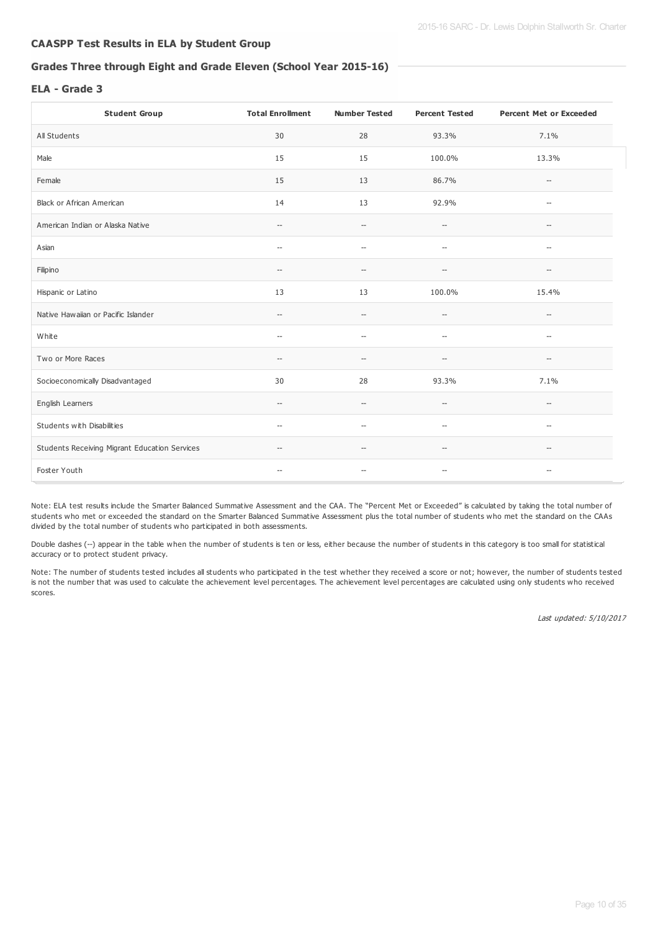# **CAASPP Test Results in ELA by Student Group**

# **Grades Three through Eight and Grade Eleven (School Year 2015-16)**

# **ELA - Grade 3**

| <b>Student Group</b>                          | <b>Total Enrollment</b>                             | <b>Number Tested</b>                                | <b>Percent Tested</b>                               | <b>Percent Met or Exceeded</b>                      |
|-----------------------------------------------|-----------------------------------------------------|-----------------------------------------------------|-----------------------------------------------------|-----------------------------------------------------|
| All Students                                  | 30                                                  | 28                                                  | 93.3%                                               | 7.1%                                                |
| Male                                          | 15                                                  | 15                                                  | 100.0%                                              | 13.3%                                               |
| Female                                        | 15                                                  | 13                                                  | 86.7%                                               | $\hspace{0.05cm} -$                                 |
| Black or African American                     | 14                                                  | 13                                                  | 92.9%                                               | $\hspace{0.05cm} -$                                 |
| American Indian or Alaska Native              | $\hspace{0.05cm} -\hspace{0.05cm}$                  | $\hspace{0.05cm} -\hspace{0.05cm}$                  | $\overline{\phantom{a}}$                            | $\overline{\phantom{a}}$                            |
| Asian                                         | $\hspace{0.05cm} -\hspace{0.05cm}$                  | $\hspace{0.05cm} \ldots$                            | $\overline{\phantom{a}}$                            | $\hspace{0.05cm} -$                                 |
| Filipino                                      | $\hspace{0.05cm} -\hspace{0.05cm}$                  | $-$                                                 | $\hspace{0.05cm} -\hspace{0.05cm} -\hspace{0.05cm}$ | --                                                  |
| Hispanic or Latino                            | 13                                                  | 13                                                  | 100.0%                                              | 15.4%                                               |
| Native Hawaiian or Pacific Islander           | $\hspace{0.05cm} -\hspace{0.05cm} -\hspace{0.05cm}$ | $\hspace{0.05cm} -\hspace{0.05cm}$                  | $\hspace{0.05cm} -\hspace{0.05cm} -\hspace{0.05cm}$ | $\hspace{0.05cm} -\hspace{0.05cm} -\hspace{0.05cm}$ |
| White                                         | $\hspace{0.05cm} -\hspace{0.05cm} -\hspace{0.05cm}$ | $-$                                                 | $-\!$                                               | $\hspace{0.05cm} -\hspace{0.05cm}$                  |
| Two or More Races                             | $\hspace{0.05cm} -\hspace{0.05cm} -\hspace{0.05cm}$ | $\hspace{0.05cm} -\hspace{0.05cm} -\hspace{0.05cm}$ | $\hspace{0.05cm} -\hspace{0.05cm} -\hspace{0.05cm}$ | $\hspace{0.05cm} -\hspace{0.05cm}$                  |
| Socioeconomically Disadvantaged               | 30                                                  | 28                                                  | 93.3%                                               | 7.1%                                                |
| English Learners                              | $\hspace{0.05cm} -\hspace{0.05cm} -\hspace{0.05cm}$ | $\sim$                                              | $\hspace{0.05cm} -\hspace{0.05cm} -\hspace{0.05cm}$ | $\hspace{0.05cm} -\hspace{0.05cm} -\hspace{0.05cm}$ |
| Students with Disabilities                    | $\hspace{0.05cm} -\hspace{0.05cm} -\hspace{0.05cm}$ | $\hspace{0.05cm} -$                                 | $-\!$                                               | $\hspace{0.05cm} -\hspace{0.05cm}$                  |
| Students Receiving Migrant Education Services | $\hspace{0.05cm} \dashv$                            | $-$                                                 | $\hspace{0.05cm} -\hspace{0.05cm} -\hspace{0.05cm}$ | $-\!$                                               |
| Foster Youth                                  | $\hspace{0.05cm} -$                                 | $\hspace{0.05cm} -$                                 | $\overline{\phantom{a}}$                            | $\hspace{0.05cm} -$                                 |

Note: ELA test results include the Smarter Balanced Summative Assessment and the CAA. The "Percent Met or Exceeded" is calculated by taking the total number of students who met or exceeded the standard on the Smarter Balanced Summative Assessment plus the total number of students who met the standard on the CAAs divided by the total number of students who participated in both assessments.

Double dashes (--) appear in the table when the number of students is ten or less, either because the number of students in this category is too small for statistical accuracy or to protect student privacy.

Note: The number of students tested includes all students who participated in the test whether they received a score or not; however, the number of students tested is not the number that was used to calculate the achievement level percentages. The achievement level percentages are calculated using only students who received scores.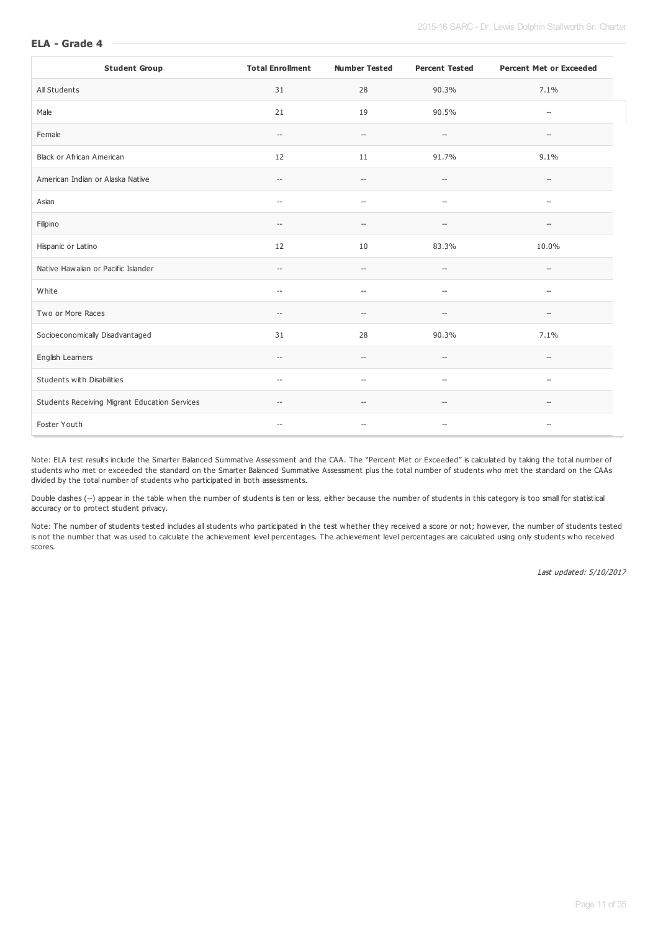| <b>Student Group</b>                          | <b>Total Enrollment</b>                             | <b>Number Tested</b>                                | <b>Percent Tested</b>                               | <b>Percent Met or Exceeded</b>                      |
|-----------------------------------------------|-----------------------------------------------------|-----------------------------------------------------|-----------------------------------------------------|-----------------------------------------------------|
| All Students                                  | 31                                                  | 28                                                  | 90.3%                                               | 7.1%                                                |
| Male                                          | 21                                                  | 19                                                  | 90.5%                                               | $\hspace{0.05cm} -\hspace{0.05cm} -\hspace{0.05cm}$ |
| Female                                        | $\hspace{0.05cm} -\hspace{0.05cm} -\hspace{0.05cm}$ | $\hspace{0.05cm} -\hspace{0.05cm} -\hspace{0.05cm}$ | $\hspace{0.05cm} -\hspace{0.05cm} -\hspace{0.05cm}$ | $\hspace{0.05cm} -\hspace{0.05cm}$                  |
| <b>Black or African American</b>              | 12                                                  | 11                                                  | 91.7%                                               | 9.1%                                                |
| American Indian or Alaska Native              | $\hspace{0.05cm} -\hspace{0.05cm}$                  | $\hspace{0.05cm} -\hspace{0.05cm} -\hspace{0.05cm}$ | $\hspace{0.05cm} -\hspace{0.05cm} -\hspace{0.05cm}$ | $\hspace{0.05cm} -\hspace{0.05cm} -\hspace{0.05cm}$ |
| Asian                                         | $\overline{\phantom{a}}$                            | $\hspace{0.05cm} -$                                 | $\overline{\phantom{a}}$                            | $\hspace{0.05cm} \ldots$                            |
| Filipino                                      | $\hspace{0.05cm} -\hspace{0.05cm} -\hspace{0.05cm}$ | $\overline{\phantom{a}}$                            | $\overline{\phantom{a}}$                            | $\hspace{0.05cm}$ – $\hspace{0.05cm}$               |
| Hispanic or Latino                            | 12                                                  | 10                                                  | 83.3%                                               | 10.0%                                               |
| Native Hawaiian or Pacific Islander           | $\hspace{0.05cm} -\hspace{0.05cm} -\hspace{0.05cm}$ | $\hspace{0.05cm} -\hspace{0.05cm} -\hspace{0.05cm}$ | $\overline{\phantom{a}}$                            | $\hspace{0.05cm} -\hspace{0.05cm}$                  |
| White                                         | $-$                                                 | $\overline{\phantom{a}}$                            | $\overline{\phantom{a}}$                            | $\overline{\phantom{a}}$                            |
| Two or More Races                             | $\hspace{0.05cm} -\hspace{0.05cm} -\hspace{0.05cm}$ | $\hspace{0.05cm} -\hspace{0.05cm} -\hspace{0.05cm}$ | $-\!$                                               | $\hspace{0.05cm} -\hspace{0.05cm}$                  |
| Socioeconomically Disadvantaged               | 31                                                  | 28                                                  | 90.3%                                               | 7.1%                                                |
| English Learners                              | $\hspace{0.05cm} -\hspace{0.05cm} -\hspace{0.05cm}$ | $\sim$                                              | $\overline{\phantom{a}}$                            | $\overline{a}$                                      |
| Students with Disabilities                    | $\overline{\phantom{a}}$                            | $\sim$                                              | $\overline{a}$                                      | $\sim$                                              |
| Students Receiving Migrant Education Services | $\hspace{0.05cm} -\hspace{0.05cm}$                  | $\overline{\phantom{a}}$                            | $\hspace{0.05cm} -\hspace{0.05cm} -\hspace{0.05cm}$ | $\hspace{0.05cm} -\hspace{0.05cm}$                  |
| Foster Youth                                  | $\hspace{0.05cm} -\hspace{0.05cm}$                  | $-\!$                                               | $\hspace{0.05cm} -\hspace{0.05cm} -\hspace{0.05cm}$ | $\hspace{0.05cm} \ldots$                            |

Note: ELA test results include the Smarter Balanced Summative Assessment and the CAA. The "Percent Met or Exceeded" is calculated by taking the total number of students who met or exceeded the standard on the Smarter Balanced Summative Assessment plus the total number of students who met the standard on the CAAs divided by the total number of students who participated in both assessments.

Double dashes (--) appear in the table when the number of students is ten or less, either because the number of students in this category is too small for statistical accuracy or to protect student privacy.

Note: The number of students tested includes all students who participated in the test whether they received a score or not; however, the number of students tested is not the number that was used to calculate the achievement level percentages. The achievement level percentages are calculated using only students who received scores.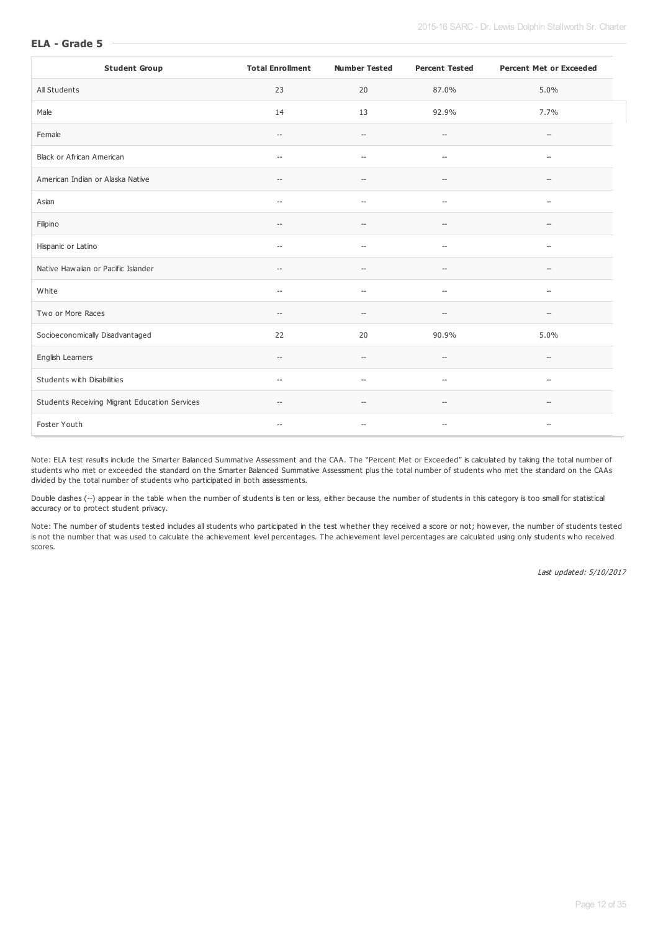| <b>Student Group</b>                          | <b>Total Enrollment</b>                             | <b>Number Tested</b>                                | <b>Percent Tested</b>                               | <b>Percent Met or Exceeded</b>                      |
|-----------------------------------------------|-----------------------------------------------------|-----------------------------------------------------|-----------------------------------------------------|-----------------------------------------------------|
| All Students                                  | 23                                                  | 20                                                  | 87.0%                                               | 5.0%                                                |
| Male                                          | 14                                                  | 13                                                  | 92.9%                                               | 7.7%                                                |
| Female                                        | $\hspace{0.05cm} \dashv$                            | $\hspace{0.05cm} -\hspace{0.05cm} -\hspace{0.05cm}$ | $-\!$                                               | $\hspace{0.05cm} -\hspace{0.05cm} -\hspace{0.05cm}$ |
| Black or African American                     | $\hspace{0.05cm} -\hspace{0.05cm}$                  | $\overline{\phantom{0}}$                            | $-\!$                                               | $\overline{\phantom{a}}$                            |
| American Indian or Alaska Native              | $\hspace{0.05cm} -\hspace{0.05cm} -\hspace{0.05cm}$ | $\hspace{0.05cm} -$                                 | $-\!$                                               | $\hspace{0.05cm} -\hspace{0.05cm} -\hspace{0.05cm}$ |
| Asian                                         | $\hspace{0.05cm} -\hspace{0.05cm}$                  | $-\!$                                               | $\hspace{0.05cm} -\hspace{0.05cm} -\hspace{0.05cm}$ | $\hspace{0.05cm} -\hspace{0.05cm} -\hspace{0.05cm}$ |
| Filipino                                      | $\overline{\phantom{a}}$                            | $\overline{\phantom{a}}$                            | $\hspace{0.05cm} -\hspace{0.05cm} -\hspace{0.05cm}$ | $\hspace{0.05cm} \ldots$                            |
| Hispanic or Latino                            | $\hspace{0.05cm} -\hspace{0.05cm}$                  | $\overline{\phantom{a}}$                            | $\overline{\phantom{a}}$                            | $\overline{\phantom{a}}$                            |
| Native Hawaiian or Pacific Islander           | $\hspace{0.05cm} -\hspace{0.05cm}$                  | --                                                  | $-\!$                                               | $\hspace{0.05cm} -\hspace{0.05cm} -\hspace{0.05cm}$ |
| White                                         | $\overline{\phantom{a}}$                            | $\overline{\phantom{a}}$                            | $\overline{\phantom{a}}$                            | $\hspace{0.05cm} \ldots$                            |
| Two or More Races                             | $\hspace{0.05cm} -\hspace{0.05cm} -\hspace{0.05cm}$ | $\hspace{0.05cm} -$                                 | $-\!$                                               | $\hspace{0.05cm} -\hspace{0.05cm} -\hspace{0.05cm}$ |
| Socioeconomically Disadvantaged               | 22                                                  | 20                                                  | 90.9%                                               | 5.0%                                                |
| English Learners                              | $\hspace{0.05cm} -\hspace{0.05cm} -\hspace{0.05cm}$ | $\hspace{0.05cm} -$                                 | $\hspace{0.05cm} -$                                 | $\hspace{0.05cm} \ldots$                            |
| Students with Disabilities                    | $\hspace{0.05cm} -\hspace{0.05cm}$                  | $\overline{\phantom{a}}$                            | $\overline{\phantom{a}}$                            | $\overline{\phantom{a}}$                            |
| Students Receiving Migrant Education Services | $-\!$                                               | $\hspace{0.05cm} -$                                 | $-\,$                                               | $\hspace{0.05cm} -$                                 |
| Foster Youth                                  | $\hspace{0.05cm} \dashv$                            | $\hspace{0.05cm} -\hspace{0.05cm} -\hspace{0.05cm}$ | $-\!$                                               | $\hspace{0.05cm} -\hspace{0.05cm} -\hspace{0.05cm}$ |

Note: ELA test results include the Smarter Balanced Summative Assessment and the CAA. The "Percent Met or Exceeded" is calculated by taking the total number of students who met or exceeded the standard on the Smarter Balanced Summative Assessment plus the total number of students who met the standard on the CAAs divided by the total number of students who participated in both assessments.

Double dashes (--) appear in the table when the number of students is ten or less, either because the number of students in this category is too small for statistical accuracy or to protect student privacy.

Note: The number of students tested includes all students who participated in the test whether they received a score or not; however, the number of students tested is not the number that was used to calculate the achievement level percentages. The achievement level percentages are calculated using only students who received scores.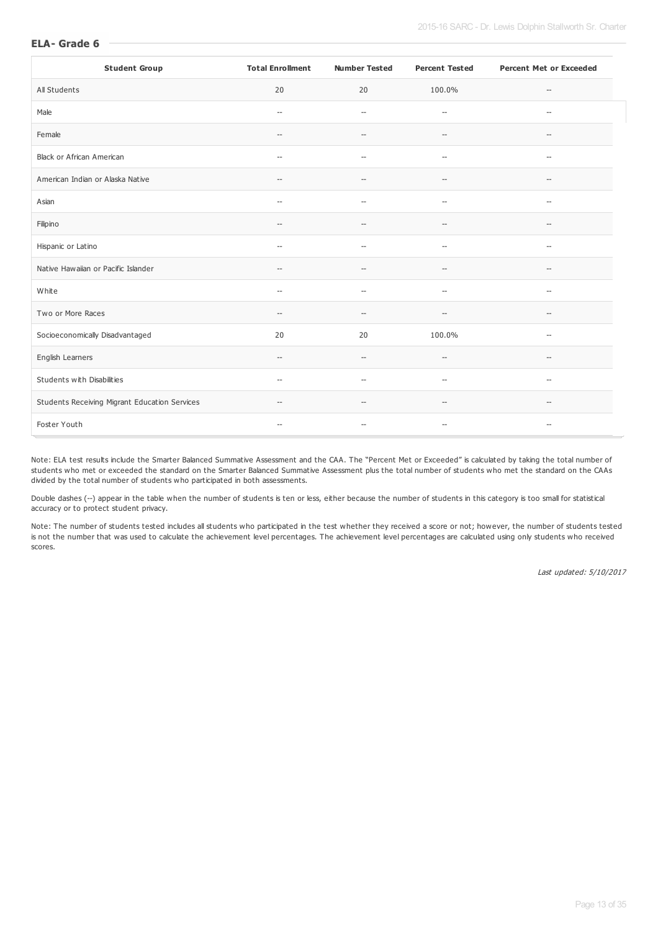| <b>Student Group</b>                          | <b>Total Enrollment</b>                             | <b>Number Tested</b>                                | <b>Percent Tested</b>                               | <b>Percent Met or Exceeded</b>                      |
|-----------------------------------------------|-----------------------------------------------------|-----------------------------------------------------|-----------------------------------------------------|-----------------------------------------------------|
| All Students                                  | 20                                                  | 20                                                  | 100.0%                                              | $\hspace{0.05cm} -\hspace{0.05cm} -\hspace{0.05cm}$ |
| Male                                          | $\hspace{0.05cm} -\hspace{0.05cm}$                  | $\overline{\phantom{a}}$                            | $\overline{\phantom{a}}$                            | $\hspace{0.05cm} \ldots$                            |
| Female                                        | $-\!$                                               | --                                                  | $-\,$                                               | $-\!$                                               |
| Black or African American                     | $\hspace{0.05cm} -\hspace{0.05cm} -\hspace{0.05cm}$ | $-\!$                                               | $\hspace{0.05cm} -\hspace{0.05cm} -\hspace{0.05cm}$ | $\hspace{0.05cm} \ldots$                            |
| American Indian or Alaska Native              | $\hspace{0.05cm} -\hspace{0.05cm} -\hspace{0.05cm}$ | $\hspace{0.05cm} -$                                 | $\hspace{0.05cm} -$                                 | $\hspace{0.05cm} -\hspace{0.05cm} -\hspace{0.05cm}$ |
| Asian                                         | $\hspace{0.05cm} -\hspace{0.05cm}$                  | $\hspace{0.05cm} -$                                 | $\hspace{0.05cm} -\hspace{0.05cm} -\hspace{0.05cm}$ | $\hspace{0.05cm} -\hspace{0.05cm} -\hspace{0.05cm}$ |
| Filipino                                      | $\hspace{0.05cm} -\hspace{0.05cm}$                  | $\overline{\phantom{a}}$                            | $\hspace{0.05cm} -$                                 | $\hspace{0.05cm} \ldots$                            |
| Hispanic or Latino                            | $\hspace{0.05cm} -$                                 | $\overline{\phantom{a}}$                            | $\hspace{0.05cm} -$                                 | $\hspace{0.05cm} \ldots$                            |
| Native Hawaiian or Pacific Islander           | $\hspace{0.05cm} -$                                 | --                                                  | $\overline{\phantom{a}}$                            | $\overline{\phantom{a}}$                            |
| White                                         | $\hspace{0.05cm} \ldots$                            | $\overline{\phantom{a}}$                            | $\hspace{0.05cm} -$                                 | $\hspace{0.05cm} -$                                 |
| Two or More Races                             | $\hspace{0.05cm} -\hspace{0.05cm} -\hspace{0.05cm}$ | $-\!$                                               | $\hspace{0.05cm} -\hspace{0.05cm} -\hspace{0.05cm}$ | $\hspace{0.05cm} -\hspace{0.05cm} -\hspace{0.05cm}$ |
| Socioeconomically Disadvantaged               | 20                                                  | 20                                                  | 100.0%                                              | $\hspace{0.05cm} -\hspace{0.05cm} -\hspace{0.05cm}$ |
| English Learners                              | $\hspace{0.05cm} -\hspace{0.05cm} -\hspace{0.05cm}$ | $\hspace{0.05cm} -\hspace{0.05cm} -\hspace{0.05cm}$ | $\hspace{0.05cm} -\hspace{0.05cm} -\hspace{0.05cm}$ | $-\!$                                               |
| Students with Disabilities                    | $\hspace{0.05cm} -$                                 | $\overline{\phantom{a}}$                            | $\hspace{0.05cm} -$                                 | $\hspace{0.05cm} -$                                 |
| Students Receiving Migrant Education Services | $\hspace{0.05cm} \dashv$                            | $\overline{\phantom{a}}$                            | $\overline{\phantom{a}}$                            | $\hspace{0.05cm}$ – $\hspace{0.05cm}$               |
| Foster Youth                                  | $\hspace{0.05cm} \ldots$                            | --                                                  | $\hspace{0.05cm} -\hspace{0.05cm} -\hspace{0.05cm}$ | $-\!$                                               |

Note: ELA test results include the Smarter Balanced Summative Assessment and the CAA. The "Percent Met or Exceeded" is calculated by taking the total number of students who met or exceeded the standard on the Smarter Balanced Summative Assessment plus the total number of students who met the standard on the CAAs divided by the total number of students who participated in both assessments.

Double dashes (--) appear in the table when the number of students is ten or less, either because the number of students in this category is too small for statistical accuracy or to protect student privacy.

Note: The number of students tested includes all students who participated in the test whether they received a score or not; however, the number of students tested is not the number that was used to calculate the achievement level percentages. The achievement level percentages are calculated using only students who received scores.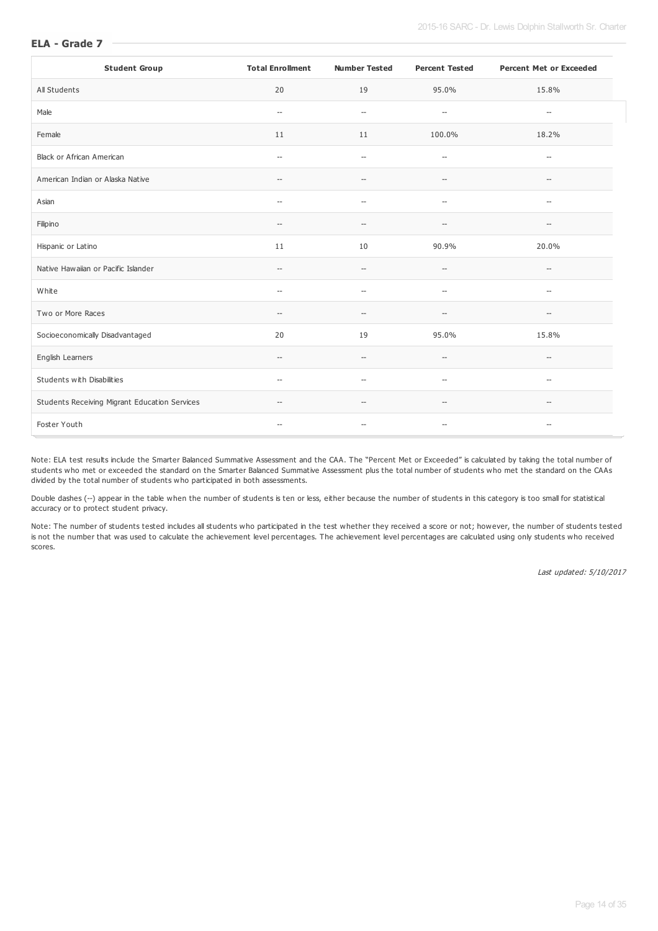| <b>Student Group</b>                          | <b>Total Enrollment</b>                             | <b>Number Tested</b>                                | <b>Percent Tested</b>                               | <b>Percent Met or Exceeded</b>                      |
|-----------------------------------------------|-----------------------------------------------------|-----------------------------------------------------|-----------------------------------------------------|-----------------------------------------------------|
| All Students                                  | 20                                                  | 19                                                  | 95.0%                                               | 15.8%                                               |
| Male                                          | $\hspace{0.05cm} -\hspace{0.05cm} -\hspace{0.05cm}$ | $\overline{\phantom{a}}$                            | $\hspace{0.05cm} -\hspace{0.05cm} -\hspace{0.05cm}$ | $\hspace{0.05cm} \ldots$                            |
| Female                                        | 11                                                  | 11                                                  | 100.0%                                              | 18.2%                                               |
| Black or African American                     | $\hspace{0.05cm} -\hspace{0.05cm}$                  | $\hspace{0.05cm} -\hspace{0.05cm} -\hspace{0.05cm}$ | $\hspace{0.05cm} -\hspace{0.05cm} -\hspace{0.05cm}$ | $\hspace{0.05cm} -\hspace{0.05cm} -\hspace{0.05cm}$ |
| American Indian or Alaska Native              | $\hspace{0.05cm} -\hspace{0.05cm} -\hspace{0.05cm}$ | $\hspace{0.05cm} -$                                 | $-\!$                                               | $\hspace{0.05cm} -\hspace{0.05cm} -\hspace{0.05cm}$ |
| Asian                                         | $\hspace{0.05cm} -\hspace{0.05cm}$                  | $\hspace{0.05cm} -$                                 | $-\!$                                               | $\hspace{0.05cm} -\hspace{0.05cm} -\hspace{0.05cm}$ |
| Filipino                                      | $\hspace{0.05cm} -$                                 | --                                                  | $-$                                                 | $\overline{\phantom{a}}$                            |
| Hispanic or Latino                            | 11                                                  | 10                                                  | 90.9%                                               | 20.0%                                               |
| Native Hawaiian or Pacific Islander           | $\hspace{0.05cm} -\hspace{0.05cm} -\hspace{0.05cm}$ | $\overline{\phantom{a}}$                            | $\overline{\phantom{a}}$                            | $\hspace{0.05cm} \ldots$                            |
| White                                         | $\hspace{0.05cm} -\hspace{0.05cm}$                  | $\hspace{0.05cm} \ldots$                            | $\overline{\phantom{a}}$                            | $\hspace{0.05cm} -$                                 |
| Two or More Races                             | $\hspace{0.05cm} -\hspace{0.05cm} -\hspace{0.05cm}$ | $\hspace{0.05cm} -$                                 | $-\!$                                               | $\hspace{0.05cm} -\hspace{0.05cm} -\hspace{0.05cm}$ |
| Socioeconomically Disadvantaged               | 20                                                  | 19                                                  | 95.0%                                               | 15.8%                                               |
| English Learners                              | $\qquad \qquad -$                                   | $\overline{\phantom{a}}$                            | $\overline{\phantom{a}}$                            | $-$                                                 |
| Students with Disabilities                    | $\hspace{0.05cm} -\hspace{0.05cm} -\hspace{0.05cm}$ | $\sim$                                              | $\overline{\phantom{a}}$                            | $\hspace{0.05cm} \ldots$                            |
| Students Receiving Migrant Education Services | $\hspace{0.05cm} -\hspace{0.05cm} -\hspace{0.05cm}$ | $\hspace{0.05cm} -$                                 | $\hspace{0.05cm} -\hspace{0.05cm} -\hspace{0.05cm}$ | $\hspace{0.05cm} -\hspace{0.05cm} -\hspace{0.05cm}$ |
| Foster Youth                                  | $\hspace{0.05cm} -\hspace{0.05cm}$                  | --                                                  | $-\,$                                               | $\hspace{0.05cm} -\hspace{0.05cm}$                  |

Note: ELA test results include the Smarter Balanced Summative Assessment and the CAA. The "Percent Met or Exceeded" is calculated by taking the total number of students who met or exceeded the standard on the Smarter Balanced Summative Assessment plus the total number of students who met the standard on the CAAs divided by the total number of students who participated in both assessments.

Double dashes (--) appear in the table when the number of students is ten or less, either because the number of students in this category is too small for statistical accuracy or to protect student privacy.

Note: The number of students tested includes all students who participated in the test whether they received a score or not; however, the number of students tested is not the number that was used to calculate the achievement level percentages. The achievement level percentages are calculated using only students who received scores.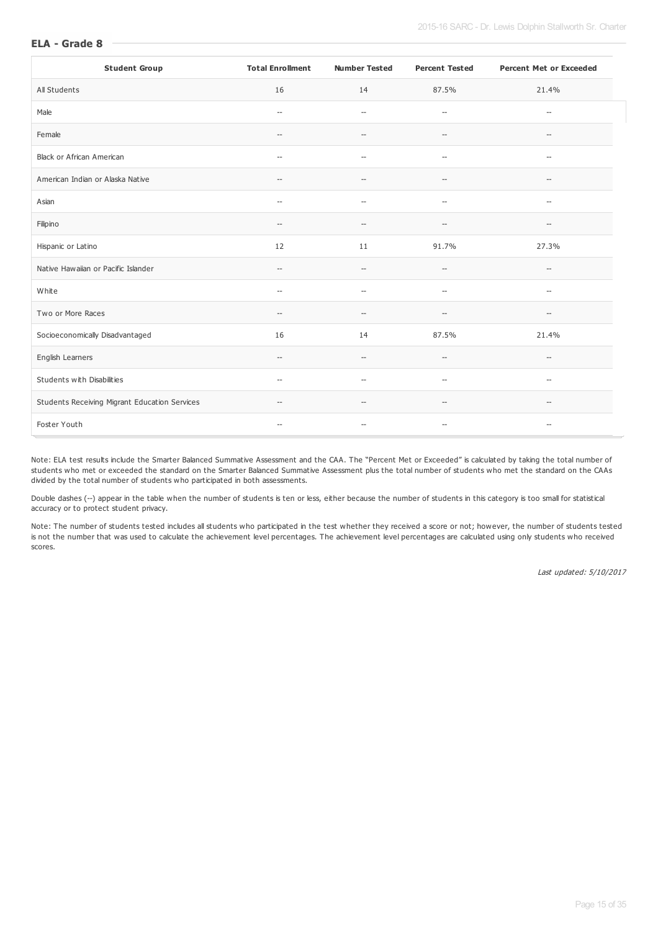| <b>Student Group</b>                          | <b>Total Enrollment</b>                             | <b>Number Tested</b>     | <b>Percent Tested</b>                               | <b>Percent Met or Exceeded</b>                      |
|-----------------------------------------------|-----------------------------------------------------|--------------------------|-----------------------------------------------------|-----------------------------------------------------|
| All Students                                  | 16                                                  | 14                       | 87.5%                                               | 21.4%                                               |
| Male                                          | $\hspace{0.05cm} -\hspace{0.05cm}$                  | $\overline{\phantom{a}}$ | $\hspace{0.05cm} -\hspace{0.05cm} -\hspace{0.05cm}$ | $\overline{\phantom{a}}$                            |
| Female                                        | $\hspace{0.05cm} -\hspace{0.05cm}$                  | $\overline{\phantom{a}}$ | $\hspace{0.05cm} -$                                 | $-$                                                 |
| Black or African American                     | $\hspace{0.05cm} -\hspace{0.05cm} -\hspace{0.05cm}$ | $\overline{\phantom{a}}$ | $\hspace{0.05cm} -\hspace{0.05cm} -\hspace{0.05cm}$ | $\hspace{0.05cm} -\hspace{0.05cm}$                  |
| American Indian or Alaska Native              | $\hspace{0.05cm} -\hspace{0.05cm} -\hspace{0.05cm}$ | $\hspace{0.05cm} -$      | $-\!$                                               | $\hspace{0.05cm} -\hspace{0.05cm} -\hspace{0.05cm}$ |
| Asian                                         | $\hspace{0.05cm} -\hspace{0.05cm}$                  | $\hspace{0.05cm} -$      | $-\!$                                               | $\hspace{0.05cm} -\hspace{0.05cm} -\hspace{0.05cm}$ |
| Filipino                                      | $\hspace{0.05cm} -$                                 | --                       | $-$                                                 | $\overline{\phantom{a}}$                            |
| Hispanic or Latino                            | 12                                                  | 11                       | 91.7%                                               | 27.3%                                               |
| Native Hawaiian or Pacific Islander           | $\hspace{0.05cm} -\hspace{0.05cm} -\hspace{0.05cm}$ | $\hspace{0.05cm} \ldots$ | $\overline{\phantom{a}}$                            | $\hspace{0.05cm} \ldots$                            |
| White                                         | $\hspace{0.05cm} -\hspace{0.05cm}$                  | $\hspace{0.05cm} \ldots$ | $\overline{\phantom{a}}$                            | $\hspace{0.05cm} -$                                 |
| Two or More Races                             | $\hspace{0.05cm} -\hspace{0.05cm} -\hspace{0.05cm}$ | $\hspace{0.05cm} -$      | $-\!$                                               | $\hspace{0.05cm} -\hspace{0.05cm} -\hspace{0.05cm}$ |
| Socioeconomically Disadvantaged               | 16                                                  | 14                       | 87.5%                                               | 21.4%                                               |
| English Learners                              | $\qquad \qquad -$                                   | $\overline{\phantom{a}}$ | $\overline{\phantom{a}}$                            | $-$                                                 |
| Students with Disabilities                    | $\hspace{0.05cm} -\hspace{0.05cm} -\hspace{0.05cm}$ | $\sim$                   | $\overline{\phantom{a}}$                            | $\hspace{0.05cm} \ldots$                            |
| Students Receiving Migrant Education Services | $\hspace{0.05cm} -\hspace{0.05cm} -\hspace{0.05cm}$ | $\hspace{0.05cm} -$      | $\hspace{0.05cm} -\hspace{0.05cm} -\hspace{0.05cm}$ | $\hspace{0.05cm} -\hspace{0.05cm} -\hspace{0.05cm}$ |
| Foster Youth                                  | $\hspace{0.05cm} -\hspace{0.05cm}$                  | --                       | $-\,$                                               | $\hspace{0.05cm} -\hspace{0.05cm}$                  |

Note: ELA test results include the Smarter Balanced Summative Assessment and the CAA. The "Percent Met or Exceeded" is calculated by taking the total number of students who met or exceeded the standard on the Smarter Balanced Summative Assessment plus the total number of students who met the standard on the CAAs divided by the total number of students who participated in both assessments.

Double dashes (--) appear in the table when the number of students is ten or less, either because the number of students in this category is too small for statistical accuracy or to protect student privacy.

Note: The number of students tested includes all students who participated in the test whether they received a score or not; however, the number of students tested is not the number that was used to calculate the achievement level percentages. The achievement level percentages are calculated using only students who received scores.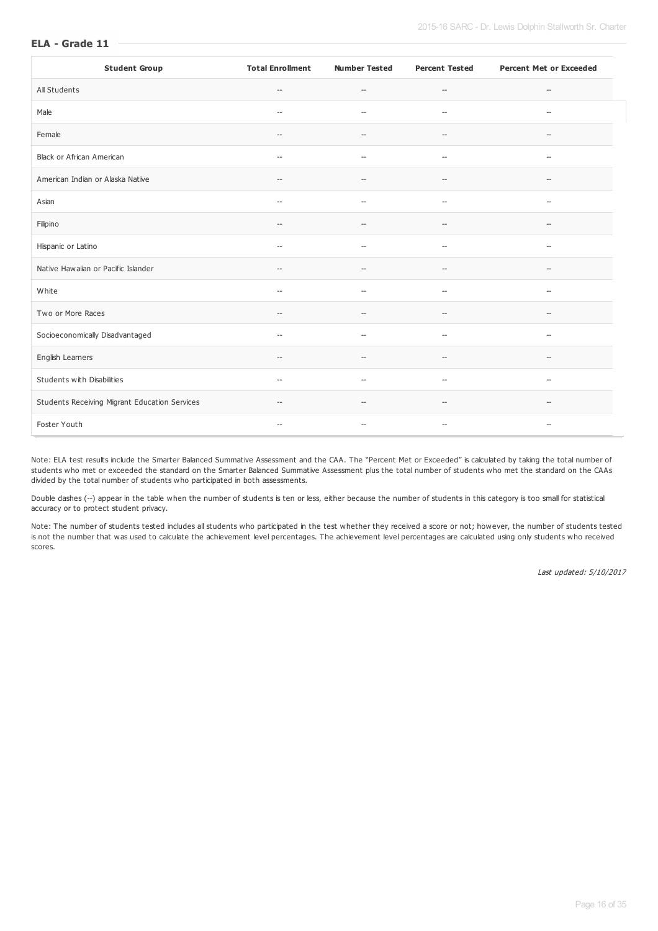| <b>Student Group</b>                          | <b>Total Enrollment</b>                             | <b>Number Tested</b>                                | <b>Percent Tested</b>                               | <b>Percent Met or Exceeded</b>                      |
|-----------------------------------------------|-----------------------------------------------------|-----------------------------------------------------|-----------------------------------------------------|-----------------------------------------------------|
| All Students                                  | $\hspace{0.05cm} -\hspace{0.05cm} -\hspace{0.05cm}$ | $\hspace{0.05cm} -\hspace{0.05cm} -\hspace{0.05cm}$ | $\hspace{0.05cm} -\hspace{0.05cm} -\hspace{0.05cm}$ | $\hspace{0.05cm} -\hspace{0.05cm} -\hspace{0.05cm}$ |
| Male                                          | $\hspace{0.05cm} \ldots$                            | $\overline{\phantom{a}}$                            | $\overline{\phantom{a}}$                            | $\hspace{0.05cm} -$                                 |
| Female                                        | $\overline{\phantom{a}}$                            | $\overline{\phantom{a}}$                            | $\overline{\phantom{a}}$                            | $\hspace{0.05cm} -\hspace{0.05cm} -\hspace{0.05cm}$ |
| Black or African American                     | $\overline{\phantom{a}}$                            | $\hspace{0.05cm} -$                                 | $\overline{\phantom{a}}$                            | $\hspace{0.05cm} -$                                 |
| American Indian or Alaska Native              | $\hspace{0.05cm} \ldots$                            | $\hspace{0.05cm} -$                                 | $-\!$                                               | $-\!$                                               |
| Asian                                         | $\hspace{0.05cm} -\hspace{0.05cm} -\hspace{0.05cm}$ | $\overline{\phantom{a}}$                            | $\hspace{0.05cm} -\hspace{0.05cm} -\hspace{0.05cm}$ | $\hspace{0.05cm} -\hspace{0.05cm}$                  |
| Filipino                                      | $\hspace{0.05cm} -$                                 | $\hspace{0.05cm} -\hspace{0.05cm} -\hspace{0.05cm}$ | $\hspace{0.05cm} -\hspace{0.05cm} -\hspace{0.05cm}$ | $\hspace{0.05cm} -\hspace{0.05cm}$                  |
| Hispanic or Latino                            | $\hspace{0.05cm} -\hspace{0.05cm}$                  | $\overline{a}$                                      | $\overline{\phantom{a}}$                            | $-\!$                                               |
| Native Hawaiian or Pacific Islander           | $\overline{\phantom{a}}$                            | $\overline{\phantom{a}}$                            | $\hspace{0.05cm} -\hspace{0.05cm} -\hspace{0.05cm}$ | $\hspace{0.05cm} -\hspace{0.05cm} -\hspace{0.05cm}$ |
| White                                         | $\overline{\phantom{0}}$                            | $\overline{\phantom{a}}$                            | $\overline{\phantom{a}}$                            | $\overline{\phantom{a}}$                            |
| Two or More Races                             | $\hspace{0.05cm} -\hspace{0.05cm} -\hspace{0.05cm}$ | $\hspace{0.05cm} -$                                 | $-\!$                                               | $-\!$                                               |
| Socioeconomically Disadvantaged               | $\hspace{0.05cm} -\hspace{0.05cm}$                  | $\overline{\phantom{a}}$                            | $\overline{\phantom{a}}$                            | $\hspace{0.05cm} -\hspace{0.05cm} -\hspace{0.05cm}$ |
| English Learners                              | $\hspace{0.05cm}--\hspace{0.05cm}$                  | $\hspace{0.05cm} -$                                 | $-\!$                                               | $\hspace{0.05cm} -\hspace{0.05cm} -\hspace{0.05cm}$ |
| Students with Disabilities                    | $\hspace{0.05cm} -\hspace{0.05cm}$                  | $\hspace{0.05cm} -$                                 | $\overline{\phantom{a}}$                            | $\hspace{0.05cm} -\hspace{0.05cm}$                  |
| Students Receiving Migrant Education Services | $\hspace{0.05cm} -\hspace{0.05cm}$                  | $\overline{\phantom{a}}$                            | $\hspace{0.05cm} -$                                 | $\hspace{0.05cm} -\hspace{0.05cm} -\hspace{0.05cm}$ |
| Foster Youth                                  | $\overline{\phantom{a}}$                            | $\overline{\phantom{a}}$                            | $\hspace{0.05cm} -\hspace{0.05cm} -\hspace{0.05cm}$ | $\hspace{0.05cm} -$                                 |

Note: ELA test results include the Smarter Balanced Summative Assessment and the CAA. The "Percent Met or Exceeded" is calculated by taking the total number of students who met or exceeded the standard on the Smarter Balanced Summative Assessment plus the total number of students who met the standard on the CAAs divided by the total number of students who participated in both assessments.

Double dashes (--) appear in the table when the number of students is ten or less, either because the number of students in this category is too small for statistical accuracy or to protect student privacy.

Note: The number of students tested includes all students who participated in the test whether they received a score or not; however, the number of students tested is not the number that was used to calculate the achievement level percentages. The achievement level percentages are calculated using only students who received scores.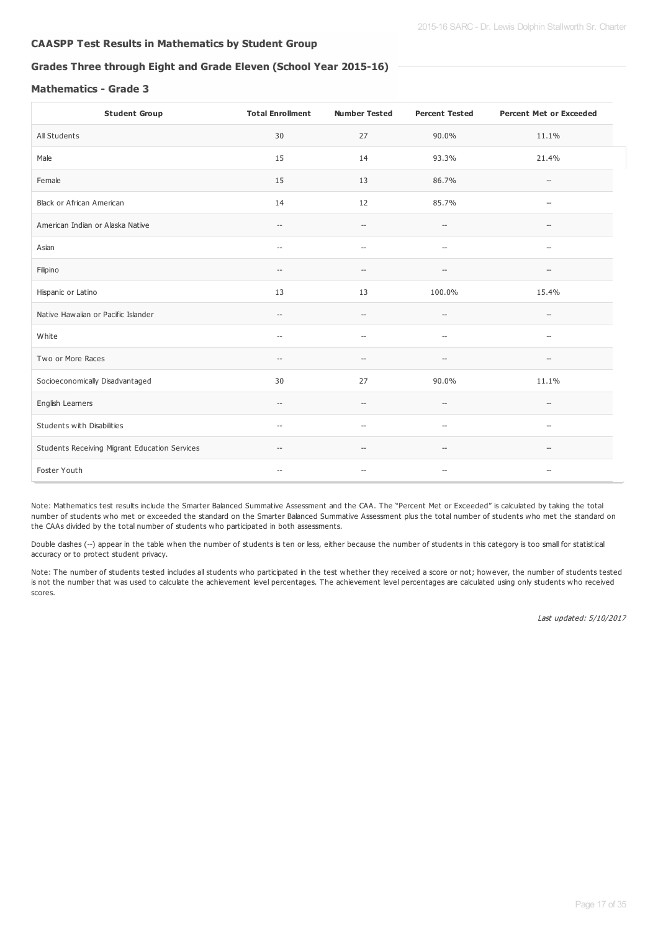# **CAASPP Test Results in Mathematics by Student Group**

# **Grades Three through Eight and Grade Eleven (School Year 2015-16)**

# **Mathematics - Grade 3**

| <b>Student Group</b>                          | <b>Total Enrollment</b>                             | <b>Number Tested</b>                                | <b>Percent Tested</b>                               | <b>Percent Met or Exceeded</b>                      |
|-----------------------------------------------|-----------------------------------------------------|-----------------------------------------------------|-----------------------------------------------------|-----------------------------------------------------|
| All Students                                  | 30                                                  | 27                                                  | 90.0%                                               | 11.1%                                               |
| Male                                          | 15                                                  | 14                                                  | 93.3%                                               | 21.4%                                               |
| Female                                        | 15                                                  | 13                                                  | 86.7%                                               | $\hspace{0.05cm} -\hspace{0.05cm}$                  |
| Black or African American                     | 14                                                  | 12                                                  | 85.7%                                               | $\hspace{0.05cm} -\hspace{0.05cm}$                  |
| American Indian or Alaska Native              | $\hspace{0.05cm} -\hspace{0.05cm}$                  | $\hspace{0.05cm} -\hspace{0.05cm} -\hspace{0.05cm}$ | $-\hbox{--}$                                        | $\hspace{0.05cm} -\hspace{0.05cm}$                  |
| Asian                                         | $\overline{\phantom{0}}$                            | $\hspace{0.05cm} -$                                 | $\hspace{0.05cm} -\hspace{0.05cm} -\hspace{0.05cm}$ | $\overline{\phantom{a}}$                            |
| Filipino                                      | $\hspace{0.05cm}--\hspace{0.05cm}$                  | $\hspace{0.05cm} \ldots$                            | $\overline{\phantom{a}}$                            | $\overline{\phantom{0}}$                            |
| Hispanic or Latino                            | 13                                                  | 13                                                  | 100.0%                                              | 15.4%                                               |
| Native Hawaiian or Pacific Islander           | $\hspace{0.05cm} -$                                 | $\hspace{0.05cm} -\hspace{0.05cm} -\hspace{0.05cm}$ | $\hspace{0.05cm} -\hspace{0.05cm} -\hspace{0.05cm}$ | $\hspace{0.05cm} -\hspace{0.05cm}$                  |
| White                                         | --                                                  | $\hspace{0.05cm} -$                                 | $\hspace{0.05cm} -\hspace{0.05cm} -\hspace{0.05cm}$ | $\hspace{0.05cm} -\hspace{0.05cm}$                  |
| Two or More Races                             | $\hspace{0.05cm} -\hspace{0.05cm}$                  | $\hspace{0.05cm} \ldots$                            | $\hspace{0.05cm} -\hspace{0.05cm} -\hspace{0.05cm}$ | $\hspace{0.05cm} \ldots$                            |
| Socioeconomically Disadvantaged               | 30                                                  | 27                                                  | 90.0%                                               | 11.1%                                               |
| English Learners                              | $\hspace{0.05cm} -\hspace{0.05cm} -\hspace{0.05cm}$ | $\hspace{0.05cm} \ldots$                            | $\hspace{0.05cm} -\hspace{0.05cm} -\hspace{0.05cm}$ | $\hspace{0.05cm} -\hspace{0.05cm} -\hspace{0.05cm}$ |
| Students with Disabilities                    | $\hspace{0.05cm} -\hspace{0.05cm}$                  | $\hspace{0.05cm} -\hspace{0.05cm} -\hspace{0.05cm}$ | $\hspace{0.05cm} -\hspace{0.05cm} -\hspace{0.05cm}$ | $\hspace{0.05cm} -\hspace{0.05cm}$                  |
| Students Receiving Migrant Education Services | $\hspace{0.05cm} -\hspace{0.05cm}$                  | $\overline{\phantom{a}}$                            | $\hspace{0.05cm} -\hspace{0.05cm} -\hspace{0.05cm}$ | $-\!$                                               |
| Foster Youth                                  | $\overline{\phantom{a}}$                            | $\overline{\phantom{a}}$                            | $\hspace{0.05cm} -\hspace{0.05cm} -\hspace{0.05cm}$ | $\hspace{0.05cm} -$                                 |

Note: Mathematics test results include the Smarter Balanced Summative Assessment and the CAA. The "Percent Met or Exceeded" is calculated by taking the total number of students who met or exceeded the standard on the Smarter Balanced Summative Assessment plus the total number of students who met the standard on the CAAs divided by the total number of students who participated in both assessments.

Double dashes (--) appear in the table when the number of students is ten or less, either because the number of students in this category is too small for statistical accuracy or to protect student privacy.

Note: The number of students tested includes all students who participated in the test whether they received a score or not; however, the number of students tested is not the number that was used to calculate the achievement level percentages. The achievement level percentages are calculated using only students who received scores.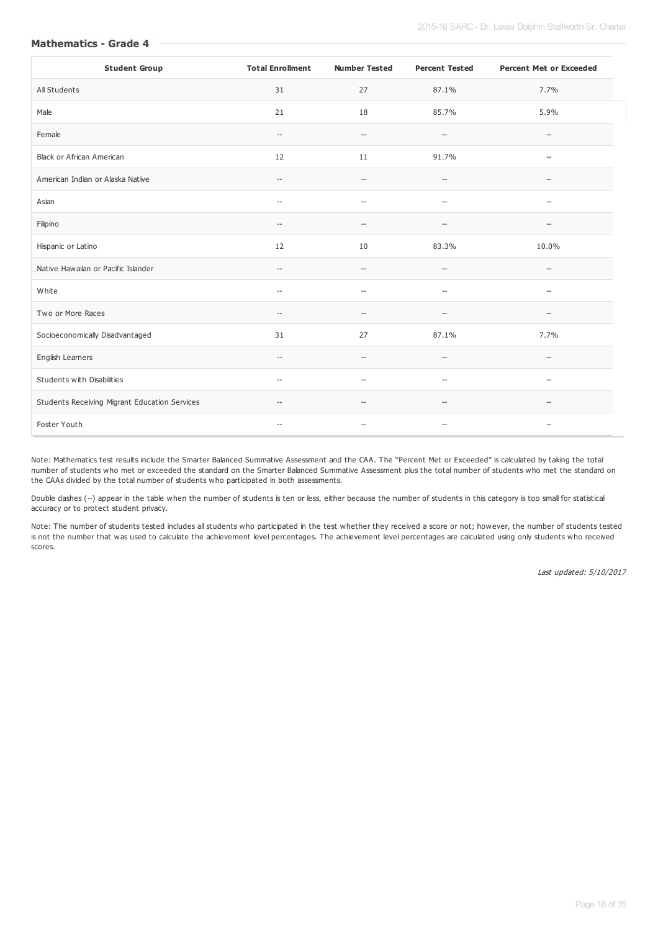| <b>Student Group</b>                          | <b>Total Enrollment</b>            | <b>Number Tested</b>                                | <b>Percent Tested</b>                               | <b>Percent Met or Exceeded</b>                      |
|-----------------------------------------------|------------------------------------|-----------------------------------------------------|-----------------------------------------------------|-----------------------------------------------------|
| All Students                                  | 31                                 | 27                                                  | 87.1%                                               | 7.7%                                                |
| Male                                          | 21                                 | 18                                                  | 85.7%                                               | 5.9%                                                |
| Female                                        | $\hspace{0.05cm} -\hspace{0.05cm}$ | $-\!$                                               | $\hspace{0.05cm} -\hspace{0.05cm} -\hspace{0.05cm}$ | $\hspace{0.05cm} -\hspace{0.05cm} -\hspace{0.05cm}$ |
| Black or African American                     | 12                                 | 11                                                  | 91.7%                                               | $\hspace{0.05cm} \ldots$                            |
| American Indian or Alaska Native              | $\qquad \qquad -$                  | $\hspace{0.05cm} -\hspace{0.05cm} -\hspace{0.05cm}$ | $\hspace{0.05cm} -\hspace{0.05cm} -\hspace{0.05cm}$ | $\overline{\phantom{a}}$                            |
| Asian                                         | $\overline{\phantom{a}}$           | $\hspace{0.05cm} -$                                 | $\overline{\phantom{a}}$                            | $\hspace{0.05cm} \ldots$                            |
| Filipino                                      | $\overline{\phantom{a}}$           | $\overline{\phantom{a}}$                            | $\hspace{0.05cm} -$                                 | $-$                                                 |
| Hispanic or Latino                            | 12                                 | 10                                                  | 83.3%                                               | 10.0%                                               |
| Native Hawaiian or Pacific Islander           | $\overline{\phantom{0}}$           | $\hspace{0.05cm} -\hspace{0.05cm} -\hspace{0.05cm}$ | $\hspace{0.05cm} -\hspace{0.05cm} -\hspace{0.05cm}$ | $\hspace{0.05cm} \ldots$                            |
| White                                         | $\overline{\phantom{0}}$           | $\hspace{0.05cm} \ldots$                            | $\overline{\phantom{a}}$                            | $\hspace{0.05cm} -\hspace{0.05cm}$                  |
| Two or More Races                             | --                                 | $-\!$                                               | $\hspace{0.05cm} -\hspace{0.05cm} -\hspace{0.05cm}$ | $\hspace{0.05cm} -\hspace{0.05cm} -\hspace{0.05cm}$ |
| Socioeconomically Disadvantaged               | 31                                 | 27                                                  | 87.1%                                               | 7.7%                                                |
| English Learners                              | $\overline{\phantom{a}}$           | $\qquad \qquad -$                                   | $\hspace{0.05cm} -$                                 | $\hspace{0.05cm} -$                                 |
| Students with Disabilities                    | $\overline{\phantom{a}}$           | $\overline{\phantom{a}}$                            | $\hspace{0.05cm} -\hspace{0.05cm} -\hspace{0.05cm}$ | $\overline{\phantom{a}}$                            |
| Students Receiving Migrant Education Services | $\overline{\phantom{a}}$           | $\hspace{0.05cm} -\hspace{0.05cm} -\hspace{0.05cm}$ | $\hspace{0.05cm} -\hspace{0.05cm} -\hspace{0.05cm}$ | $\overline{\phantom{a}}$                            |
| Foster Youth                                  | $\hspace{0.05cm} -\hspace{0.05cm}$ | $\hspace{0.05cm} -\hspace{0.05cm}$                  | $-\!$                                               | $-\!$                                               |

Note: Mathematics test results include the Smarter Balanced Summative Assessment and the CAA. The "Percent Met or Exceeded" is calculated by taking the total number of students who met or exceeded the standard on the Smarter Balanced Summative Assessment plus the total number of students who met the standard on the CAAs divided by the total number of students who participated in both assessments.

Double dashes (--) appear in the table when the number of students is ten or less, either because the number of students in this category is too small for statistical accuracy or to protect student privacy.

Note: The number of students tested includes all students who participated in the test whether they received a score or not; however, the number of students tested is not the number that was used to calculate the achievement level percentages. The achievement level percentages are calculated using only students who received scores.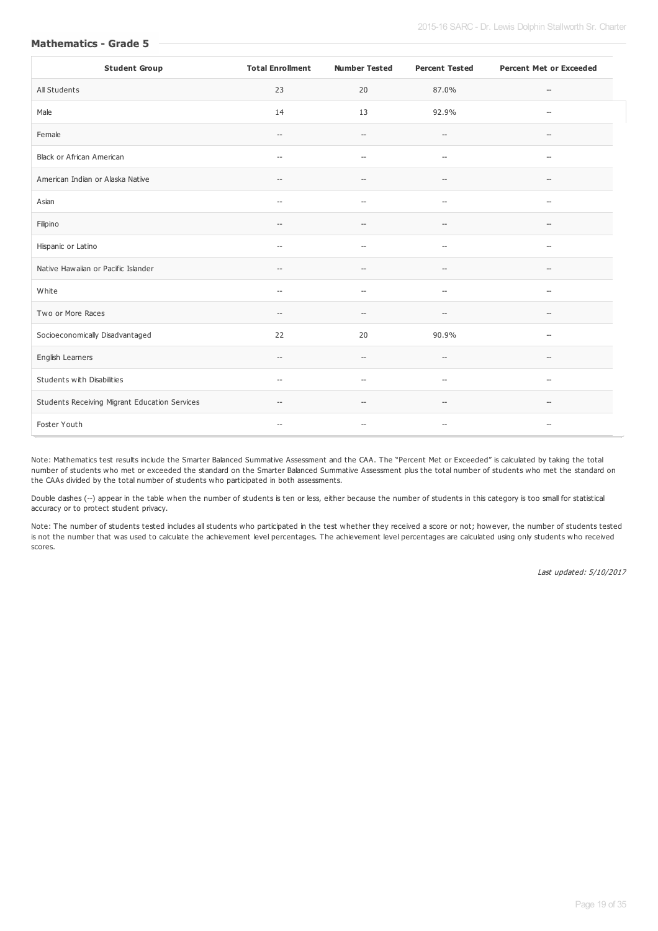| <b>Student Group</b>                          | <b>Total Enrollment</b>                             | <b>Number Tested</b>                                | <b>Percent Tested</b>                               | <b>Percent Met or Exceeded</b>                      |
|-----------------------------------------------|-----------------------------------------------------|-----------------------------------------------------|-----------------------------------------------------|-----------------------------------------------------|
| All Students                                  | 23                                                  | 20                                                  | 87.0%                                               | $-\!$                                               |
| Male                                          | 14                                                  | 13                                                  | 92.9%                                               | $\overline{\phantom{a}}$                            |
| Female                                        | $\hspace{0.05cm} -\hspace{0.05cm}$                  | $-\!$                                               | $\hspace{0.05cm} \ldots$                            | $\hspace{0.05cm} -\hspace{0.05cm} -\hspace{0.05cm}$ |
| Black or African American                     | $\hspace{0.05cm} -\hspace{0.05cm}$                  | $\hspace{0.05cm} -\hspace{0.05cm} -\hspace{0.05cm}$ | $\hspace{0.05cm} -\hspace{0.05cm} -\hspace{0.05cm}$ | $\hspace{0.05cm} -\hspace{0.05cm} -\hspace{0.05cm}$ |
| American Indian or Alaska Native              | $\hspace{0.05cm} -\hspace{0.05cm} -\hspace{0.05cm}$ | $\hspace{0.05cm} -$                                 | $-\!$                                               | $\hspace{0.05cm} -\hspace{0.05cm} -\hspace{0.05cm}$ |
| Asian                                         | $\overline{\phantom{a}}$                            | $\overline{\phantom{a}}$                            | $\hspace{0.05cm} -\hspace{0.05cm} -\hspace{0.05cm}$ | $\hspace{0.05cm} -$                                 |
| Filipino                                      | $\overline{\phantom{a}}$                            | $\overline{\phantom{a}}$                            | $-$                                                 | $\hspace{0.05cm}$ – $\hspace{0.05cm}$               |
| Hispanic or Latino                            | $\hspace{0.05cm} \ldots$                            | $\overline{\phantom{a}}$                            | $\overline{\phantom{a}}$                            | $-$                                                 |
| Native Hawaiian or Pacific Islander           | $\hspace{0.05cm} -\hspace{0.05cm}$                  | --                                                  | $\hspace{0.05cm} -\hspace{0.05cm} -\hspace{0.05cm}$ | $\hspace{0.05cm} -\hspace{0.05cm} -\hspace{0.05cm}$ |
| White                                         | $\hspace{0.05cm} -\hspace{0.05cm}$                  | $\overline{\phantom{a}}$                            | $\hspace{0.05cm} -$                                 | $\hspace{0.05cm} -$                                 |
| Two or More Races                             | $\hspace{0.05cm} -\hspace{0.05cm}$                  | $\hspace{0.05cm} -$                                 | $\hspace{0.05cm} -\hspace{0.05cm} -\hspace{0.05cm}$ | $\hspace{0.05cm} -\hspace{0.05cm} -\hspace{0.05cm}$ |
| Socioeconomically Disadvantaged               | 22                                                  | 20                                                  | 90.9%                                               | $\hspace{0.05cm} -$                                 |
| English Learners                              | $\qquad \qquad -$                                   | $-$                                                 | $-$                                                 | $-$                                                 |
| Students with Disabilities                    | $\overline{\phantom{a}}$                            | $\overline{a}$                                      | $\sim$                                              | $\sim$                                              |
| Students Receiving Migrant Education Services | $\hspace{0.05cm} -\hspace{0.05cm}$                  | $\overline{\phantom{a}}$                            | $\hspace{0.05cm} -\hspace{0.05cm} -\hspace{0.05cm}$ | $\hspace{0.05cm} -\hspace{0.05cm} -\hspace{0.05cm}$ |
| Foster Youth                                  | $\hspace{0.05cm} -\hspace{0.05cm} -\hspace{0.05cm}$ | $\hspace{0.05cm} -\hspace{0.05cm} -\hspace{0.05cm}$ | $\hspace{0.05cm} -\hspace{0.05cm} -\hspace{0.05cm}$ | $\hspace{0.05cm} -\hspace{0.05cm} -\hspace{0.05cm}$ |

Note: Mathematics test results include the Smarter Balanced Summative Assessment and the CAA. The "Percent Met or Exceeded" is calculated by taking the total number of students who met or exceeded the standard on the Smarter Balanced Summative Assessment plus the total number of students who met the standard on the CAAs divided by the total number of students who participated in both assessments.

Double dashes (--) appear in the table when the number of students is ten or less, either because the number of students in this category is too small for statistical accuracy or to protect student privacy.

Note: The number of students tested includes all students who participated in the test whether they received a score or not; however, the number of students tested is not the number that was used to calculate the achievement level percentages. The achievement level percentages are calculated using only students who received scores.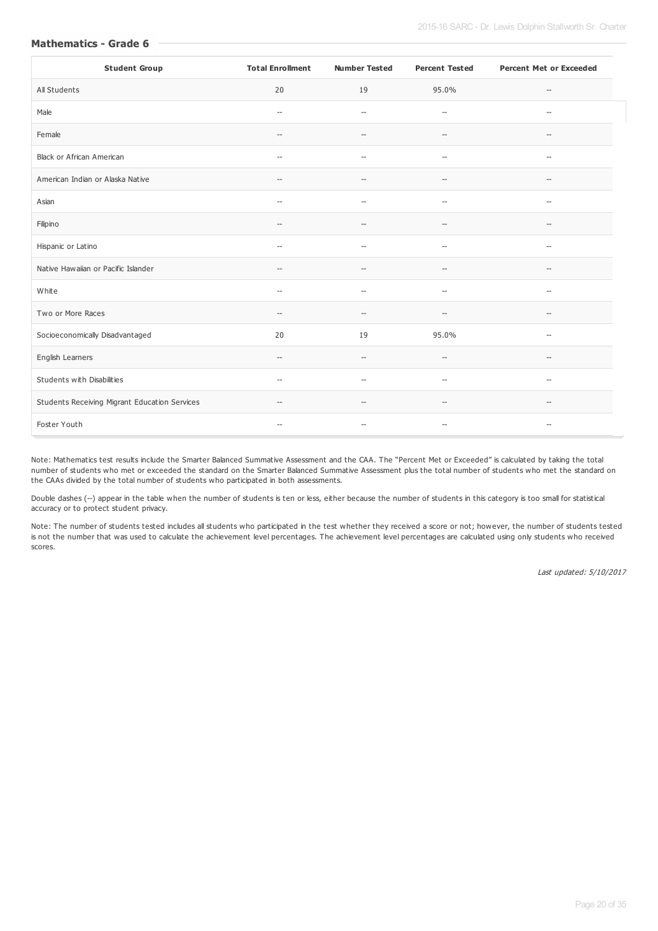| <b>Student Group</b>                          | <b>Total Enrollment</b>                             | <b>Number Tested</b>                                | <b>Percent Tested</b>                               | <b>Percent Met or Exceeded</b>                      |
|-----------------------------------------------|-----------------------------------------------------|-----------------------------------------------------|-----------------------------------------------------|-----------------------------------------------------|
| All Students                                  | 20                                                  | 19                                                  | 95.0%                                               | $\hspace{0.05cm} -\hspace{0.05cm} -\hspace{0.05cm}$ |
| Male                                          | $\overline{\phantom{a}}$                            | $\overline{\phantom{a}}$                            | $\overline{\phantom{a}}$                            | $\hspace{0.05cm} \ldots$                            |
| Female                                        | $\hspace{0.05cm} -\hspace{0.05cm} -\hspace{0.05cm}$ | $\hspace{0.05cm} -$                                 | $-\,$                                               | $-\!$                                               |
| Black or African American                     | $\hspace{0.05cm} -\hspace{0.05cm} -\hspace{0.05cm}$ | $\hspace{0.05cm} -$                                 | $-\!$                                               | $\hspace{0.05cm} -\hspace{0.05cm}$                  |
| American Indian or Alaska Native              | $\hspace{0.05cm} -\hspace{0.05cm} -\hspace{0.05cm}$ | $\hspace{0.05cm} \ldots$                            | $\hspace{0.05cm} -\hspace{0.05cm} -\hspace{0.05cm}$ | $\hspace{0.05cm} -\hspace{0.05cm} -\hspace{0.05cm}$ |
| Asian                                         | $\hspace{0.05cm} \ldots$                            | $\hspace{0.05cm} -$                                 | $\overline{\phantom{a}}$                            | $\hspace{0.05cm} -$                                 |
| Filipino                                      | $\overline{\phantom{a}}$                            | $\sim$                                              | $\sim$                                              | $-$                                                 |
| Hispanic or Latino                            | $\hspace{0.05cm} -\hspace{0.05cm} -\hspace{0.05cm}$ | $-$                                                 | $\hspace{0.05cm} -\hspace{0.05cm} -\hspace{0.05cm}$ | $\hspace{0.05cm} -\hspace{0.05cm} -\hspace{0.05cm}$ |
| Native Hawaiian or Pacific Islander           | $\hspace{0.05cm} -\hspace{0.05cm} -\hspace{0.05cm}$ | $\hspace{0.05cm} -\hspace{0.05cm} -\hspace{0.05cm}$ | $\hspace{0.05cm} -\hspace{0.05cm} -\hspace{0.05cm}$ | $\hspace{0.05cm} -$                                 |
| White                                         | $\hspace{0.05cm} \ldots$                            | $\hspace{0.05cm} \ldots$                            | $\overline{\phantom{a}}$                            | $\hspace{0.05cm} \ldots$                            |
| Two or More Races                             | $\hspace{0.05cm} -\hspace{0.05cm} -\hspace{0.05cm}$ | $-$                                                 | $\hspace{0.05cm} \ldots$                            | $\hspace{0.05cm} -\hspace{0.05cm} -\hspace{0.05cm}$ |
| Socioeconomically Disadvantaged               | 20                                                  | 19                                                  | 95.0%                                               | $\hspace{0.05cm} -\hspace{0.05cm}$                  |
| English Learners                              | $\hspace{0.05cm} -\hspace{0.05cm} -\hspace{0.05cm}$ | $\overline{\phantom{a}}$                            | $\overline{\phantom{a}}$                            | --                                                  |
| Students with Disabilities                    | $\hspace{0.05cm} -\hspace{0.05cm} -\hspace{0.05cm}$ | $\hspace{0.05cm} \ldots$                            | $\hspace{0.05cm} -\hspace{0.05cm} -\hspace{0.05cm}$ | $\hspace{0.05cm} -\hspace{0.05cm} -\hspace{0.05cm}$ |
| Students Receiving Migrant Education Services | $\hspace{0.05cm} -\hspace{0.05cm} -\hspace{0.05cm}$ | $-$                                                 | $\hspace{0.05cm} -$                                 | $\hspace{0.05cm} -\hspace{0.05cm} -\hspace{0.05cm}$ |
| Foster Youth                                  | $-\!$                                               | --                                                  | $\qquad \qquad -$                                   | $-\!$                                               |

Note: Mathematics test results include the Smarter Balanced Summative Assessment and the CAA. The "Percent Met or Exceeded" is calculated by taking the total number of students who met or exceeded the standard on the Smarter Balanced Summative Assessment plus the total number of students who met the standard on the CAAs divided by the total number of students who participated in both assessments.

Double dashes (--) appear in the table when the number of students is ten or less, either because the number of students in this category is too small for statistical accuracy or to protect student privacy.

Note: The number of students tested includes all students who participated in the test whether they received a score or not; however, the number of students tested is not the number that was used to calculate the achievement level percentages. The achievement level percentages are calculated using only students who received scores.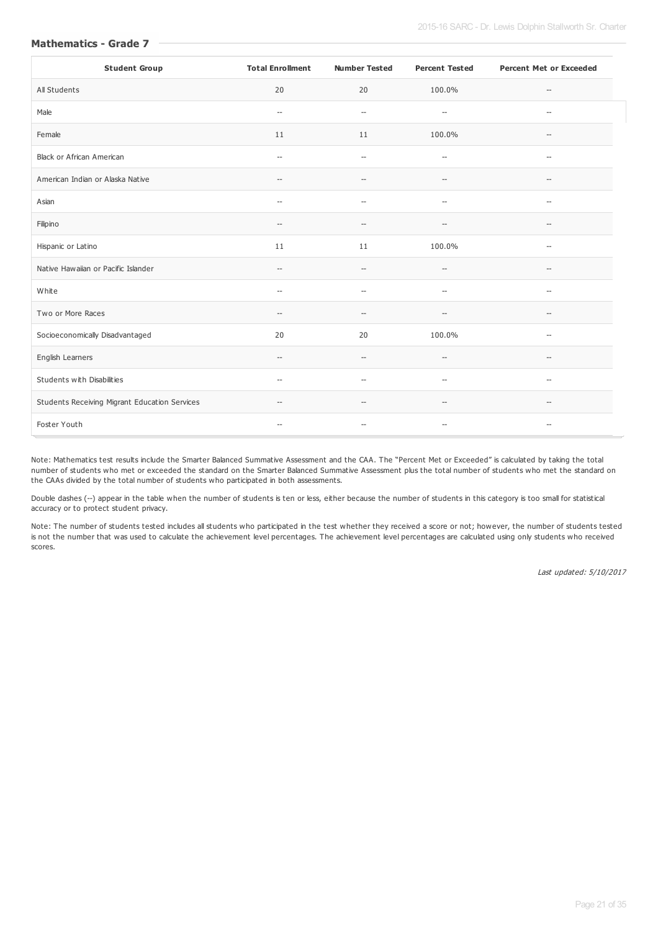| <b>Student Group</b>                          | <b>Total Enrollment</b>                             | <b>Number Tested</b>     | <b>Percent Tested</b>                               | <b>Percent Met or Exceeded</b>                      |
|-----------------------------------------------|-----------------------------------------------------|--------------------------|-----------------------------------------------------|-----------------------------------------------------|
| All Students                                  | 20                                                  | 20                       | 100.0%                                              | $-\!$                                               |
| Male                                          | $\hspace{0.05cm} \ldots$                            | $\hspace{0.05cm} -$      | $\hspace{0.05cm} -\hspace{0.05cm} -\hspace{0.05cm}$ | $\hspace{0.05cm} -$                                 |
| Female                                        | 11                                                  | 11                       | 100.0%                                              | $\hspace{0.05cm} -\hspace{0.05cm} -\hspace{0.05cm}$ |
| Black or African American                     | $\hspace{0.05cm} -\hspace{0.05cm}$                  | $\hspace{0.05cm} \ldots$ | $\hspace{0.05cm} -\hspace{0.05cm} -\hspace{0.05cm}$ | $\hspace{0.05cm} -\hspace{0.05cm}$                  |
| American Indian or Alaska Native              | $\hspace{0.05cm} -\hspace{0.05cm}$                  | $-$                      | $\hspace{0.05cm} -\hspace{0.05cm} -\hspace{0.05cm}$ | $\hspace{0.05cm} -\hspace{0.05cm} -\hspace{0.05cm}$ |
| Asian                                         | $\hspace{0.05cm} \ldots$                            | $\sim$                   | $\overline{\phantom{a}}$                            | $\overline{\phantom{a}}$                            |
| Filipino                                      | $\hspace{0.05cm} -\hspace{0.05cm}$                  | $\qquad \qquad -$        | $\hspace{0.05cm} -\hspace{0.05cm} -\hspace{0.05cm}$ | $\hspace{0.05cm} -\hspace{0.05cm} -\hspace{0.05cm}$ |
| Hispanic or Latino                            | 11                                                  | 11                       | 100.0%                                              | $\hspace{0.05cm} \ldots$                            |
| Native Hawaiian or Pacific Islander           | $\hspace{0.05cm} -\hspace{0.05cm}$                  | $\overline{\phantom{a}}$ | $\hspace{0.05cm} -\hspace{0.05cm} -\hspace{0.05cm}$ | $\overline{\phantom{a}}$                            |
| White                                         | $\hspace{0.05cm} \ldots$                            | $\hspace{0.05cm} \ldots$ | $\overline{\phantom{a}}$                            | $\overline{\phantom{a}}$                            |
| Two or More Races                             | $-\!$                                               | $\overline{\phantom{a}}$ | $-\!$                                               | $\hspace{0.05cm} -\hspace{0.05cm}$                  |
| Socioeconomically Disadvantaged               | 20                                                  | 20                       | 100.0%                                              | $\hspace{0.05cm} -$                                 |
| English Learners                              | $\hspace{0.05cm} -\hspace{0.05cm} -\hspace{0.05cm}$ | $\overline{\phantom{a}}$ | $-$                                                 | $-$                                                 |
| Students with Disabilities                    | $\hspace{0.05cm} \ldots$                            | $\hspace{0.05cm} \ldots$ | $\overline{\phantom{a}}$                            | $\hspace{0.05cm} \ldots$                            |
| Students Receiving Migrant Education Services | $\hspace{0.05cm} -\hspace{0.05cm} -\hspace{0.05cm}$ | $-$                      | $\hspace{0.05cm} -$                                 | $\hspace{0.05cm} -\hspace{0.05cm} -\hspace{0.05cm}$ |
| Foster Youth                                  | $\hspace{0.05cm} -\hspace{0.05cm}$                  | --                       | $\qquad \qquad -$                                   | $\hspace{0.05cm} -\hspace{0.05cm} -\hspace{0.05cm}$ |

Note: Mathematics test results include the Smarter Balanced Summative Assessment and the CAA. The "Percent Met or Exceeded" is calculated by taking the total number of students who met or exceeded the standard on the Smarter Balanced Summative Assessment plus the total number of students who met the standard on the CAAs divided by the total number of students who participated in both assessments.

Double dashes (--) appear in the table when the number of students is ten or less, either because the number of students in this category is too small for statistical accuracy or to protect student privacy.

Note: The number of students tested includes all students who participated in the test whether they received a score or not; however, the number of students tested is not the number that was used to calculate the achievement level percentages. The achievement level percentages are calculated using only students who received scores.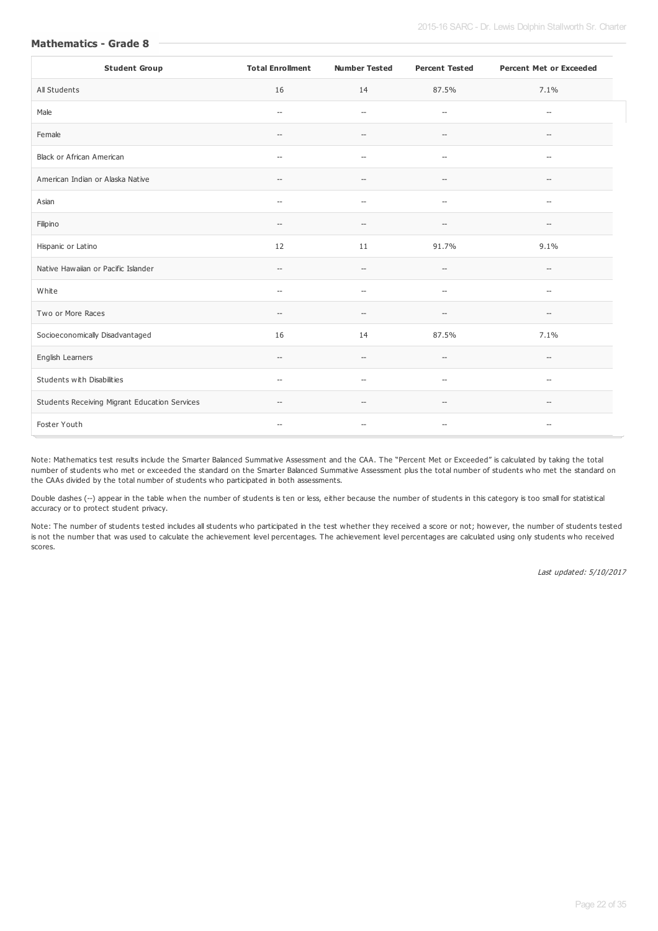| <b>Student Group</b>                          | <b>Total Enrollment</b>                             | <b>Number Tested</b>                                | <b>Percent Tested</b>                               | <b>Percent Met or Exceeded</b>                      |
|-----------------------------------------------|-----------------------------------------------------|-----------------------------------------------------|-----------------------------------------------------|-----------------------------------------------------|
| All Students                                  | 16                                                  | 14                                                  | 87.5%                                               | 7.1%                                                |
| Male                                          | $\hspace{0.05cm} \ldots$                            | $\overline{\phantom{a}}$                            | $\overline{\phantom{a}}$                            | $\overline{\phantom{a}}$                            |
| Female                                        | $\hspace{0.05cm} -\hspace{0.05cm} -\hspace{0.05cm}$ | $-$                                                 | $-\!$                                               | $-\!$                                               |
| Black or African American                     | $\hspace{0.05cm} -\hspace{0.05cm} -\hspace{0.05cm}$ | $\hspace{0.05cm} \ldots$                            | $\hspace{0.05cm} -\hspace{0.05cm} -\hspace{0.05cm}$ | $\hspace{0.05cm} -\hspace{0.05cm}$                  |
| American Indian or Alaska Native              | $\hspace{0.05cm} -\hspace{0.05cm} -\hspace{0.05cm}$ | $-$                                                 | $\hspace{0.05cm} -\hspace{0.05cm} -\hspace{0.05cm}$ | $\hspace{0.05cm} \ldots$                            |
| Asian                                         | $\hspace{0.05cm} \ldots$                            | $\hspace{0.05cm} \ldots$                            | $\hspace{0.05cm} -\hspace{0.05cm} -\hspace{0.05cm}$ | $\overline{\phantom{a}}$                            |
| Filipino                                      | $\overline{\phantom{a}}$                            | $\overline{\phantom{a}}$                            | $\overline{\phantom{a}}$                            | $\overline{\phantom{a}}$                            |
| Hispanic or Latino                            | 12                                                  | 11                                                  | 91.7%                                               | 9.1%                                                |
| Native Hawaiian or Pacific Islander           | $\hspace{0.05cm} -\hspace{0.05cm} -\hspace{0.05cm}$ | $\hspace{0.05cm} -\hspace{0.05cm} -\hspace{0.05cm}$ | $\hspace{0.05cm} -\hspace{0.05cm} -\hspace{0.05cm}$ | $\hspace{0.05cm} -\hspace{0.05cm} -\hspace{0.05cm}$ |
| White                                         | $\hspace{0.05cm} -\hspace{0.05cm} -\hspace{0.05cm}$ | $\hspace{0.05cm} \ldots$                            | $\hspace{0.05cm} -\hspace{0.05cm} -\hspace{0.05cm}$ | $\hspace{0.05cm} -\hspace{0.05cm} -\hspace{0.05cm}$ |
| Two or More Races                             | $\hspace{0.05cm} -\hspace{0.05cm} -\hspace{0.05cm}$ | $\overline{\phantom{a}}$                            | $-\!$                                               | $-\!$                                               |
| Socioeconomically Disadvantaged               | 16                                                  | 14                                                  | 87.5%                                               | 7.1%                                                |
| English Learners                              | $\qquad \qquad -$                                   | $-$                                                 | $-$                                                 | $\hspace{0.05cm}$ – $\hspace{0.05cm}$               |
| Students with Disabilities                    | $\overline{\phantom{a}}$                            | $\hspace{0.05cm} \ldots$                            | $\hspace{0.05cm} -\hspace{0.05cm} -\hspace{0.05cm}$ | $\hspace{0.05cm} \ldots$                            |
| Students Receiving Migrant Education Services | $\hspace{0.05cm} -\hspace{0.05cm} -\hspace{0.05cm}$ | $\overline{\phantom{a}}$                            | $\hspace{0.05cm} -\hspace{0.05cm} -\hspace{0.05cm}$ | $\hspace{0.05cm} -$                                 |
| Foster Youth                                  | $\hspace{0.05cm} -\hspace{0.05cm}$                  | $\hspace{0.05cm} -\hspace{0.05cm}$                  | $\hspace{0.05cm} -\hspace{0.05cm} -\hspace{0.05cm}$ | $\hspace{0.05cm} -\hspace{0.05cm}$                  |

Note: Mathematics test results include the Smarter Balanced Summative Assessment and the CAA. The "Percent Met or Exceeded" is calculated by taking the total number of students who met or exceeded the standard on the Smarter Balanced Summative Assessment plus the total number of students who met the standard on the CAAs divided by the total number of students who participated in both assessments.

Double dashes (--) appear in the table when the number of students is ten or less, either because the number of students in this category is too small for statistical accuracy or to protect student privacy.

Note: The number of students tested includes all students who participated in the test whether they received a score or not; however, the number of students tested is not the number that was used to calculate the achievement level percentages. The achievement level percentages are calculated using only students who received scores.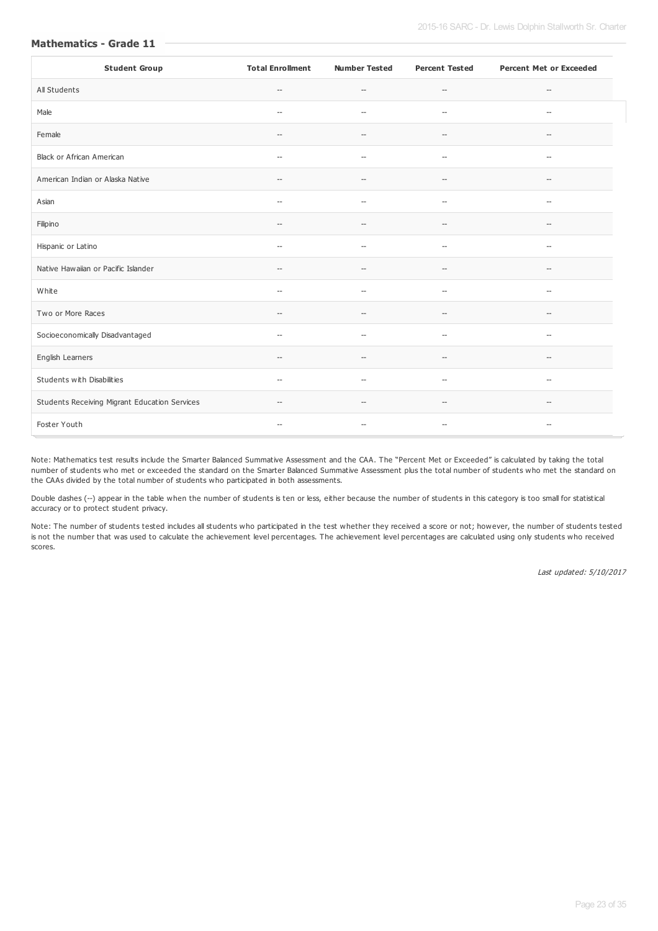| <b>Student Group</b>                          | <b>Total Enrollment</b>                             | <b>Number Tested</b>                                | <b>Percent Tested</b>                               | <b>Percent Met or Exceeded</b>                      |
|-----------------------------------------------|-----------------------------------------------------|-----------------------------------------------------|-----------------------------------------------------|-----------------------------------------------------|
| All Students                                  | $\hspace{0.05cm} -\hspace{0.05cm} -\hspace{0.05cm}$ | $-\!$                                               | $-\!$                                               | $-\!$                                               |
| Male                                          | $\hspace{0.05cm} \ldots$                            | $-$                                                 | $\overline{\phantom{a}}$                            | $\hspace{0.05cm} \ldots$                            |
| Female                                        | $\hspace{0.05cm} -\hspace{0.05cm}$                  | $\hspace{0.05cm} -\hspace{0.05cm} -\hspace{0.05cm}$ | $\hspace{0.05cm} -\hspace{0.05cm} -\hspace{0.05cm}$ | $\hspace{0.05cm} -\hspace{0.05cm} -\hspace{0.05cm}$ |
| <b>Black or African American</b>              | $\hspace{0.05cm} -\hspace{0.05cm} -\hspace{0.05cm}$ | $-$                                                 | $\overline{\phantom{a}}$                            | $\hspace{0.05cm} -\hspace{0.05cm} -\hspace{0.05cm}$ |
| American Indian or Alaska Native              | $\hspace{0.05cm} -\hspace{0.05cm}$                  | $-$                                                 | $\hspace{0.05cm} -\hspace{0.05cm} -\hspace{0.05cm}$ | $\hspace{0.05cm} -\hspace{0.05cm}$                  |
| Asian                                         | $\hspace{0.05cm} \ldots$                            | $\sim$                                              | $\overline{\phantom{a}}$                            | $\overline{\phantom{a}}$                            |
| Filipino                                      | $\hspace{0.05cm} -\hspace{0.05cm}$                  | $\qquad \qquad -$                                   | $\hspace{0.05cm} -\hspace{0.05cm} -\hspace{0.05cm}$ | $\hspace{0.05cm} -\hspace{0.05cm}$                  |
| Hispanic or Latino                            | $\hspace{0.05cm} -$                                 | $\hspace{0.05cm} \ldots$                            | $\overline{\phantom{a}}$                            | $\hspace{0.05cm} \ldots$                            |
| Native Hawaiian or Pacific Islander           | $\hspace{0.05cm} -\hspace{0.05cm} -\hspace{0.05cm}$ | $\overline{\phantom{a}}$                            | $\hspace{0.05cm} -\hspace{0.05cm} -\hspace{0.05cm}$ | $\overline{\phantom{a}}$                            |
| White                                         | $\hspace{0.05cm} -$                                 | $\hspace{0.05cm} \ldots$                            | $\overline{\phantom{a}}$                            | $\hspace{0.05cm} -$                                 |
| Two or More Races                             | $\hspace{0.05cm} -\hspace{0.05cm} -\hspace{0.05cm}$ | $-$                                                 | $-\!$                                               | $\hspace{0.05cm} -\hspace{0.05cm} -\hspace{0.05cm}$ |
| Socioeconomically Disadvantaged               | $\hspace{0.05cm} \ldots$                            | $\hspace{0.05cm} -$                                 | $-\!$                                               | $\hspace{0.05cm} -$                                 |
| English Learners                              | $\overline{\phantom{a}}$                            | --                                                  | $-$                                                 | $\hspace{0.05cm}$ – $\hspace{0.05cm}$               |
| Students with Disabilities                    | $\hspace{0.05cm} \ldots$                            | $\hspace{0.05cm} \ldots$                            | $\overline{\phantom{a}}$                            | $\hspace{0.05cm} \ldots$                            |
| Students Receiving Migrant Education Services | $\hspace{0.05cm} -\hspace{0.05cm} -\hspace{0.05cm}$ | $-$                                                 | $\hspace{0.05cm} -$                                 | $\hspace{0.05cm} -$                                 |
| Foster Youth                                  | $\hspace{0.05cm} -\hspace{0.05cm}$                  | --                                                  | $\qquad \qquad -$                                   | $\hspace{0.05cm} -\hspace{0.05cm}$                  |

Note: Mathematics test results include the Smarter Balanced Summative Assessment and the CAA. The "Percent Met or Exceeded" is calculated by taking the total number of students who met or exceeded the standard on the Smarter Balanced Summative Assessment plus the total number of students who met the standard on the CAAs divided by the total number of students who participated in both assessments.

Double dashes (--) appear in the table when the number of students is ten or less, either because the number of students in this category is too small for statistical accuracy or to protect student privacy.

Note: The number of students tested includes all students who participated in the test whether they received a score or not; however, the number of students tested is not the number that was used to calculate the achievement level percentages. The achievement level percentages are calculated using only students who received scores.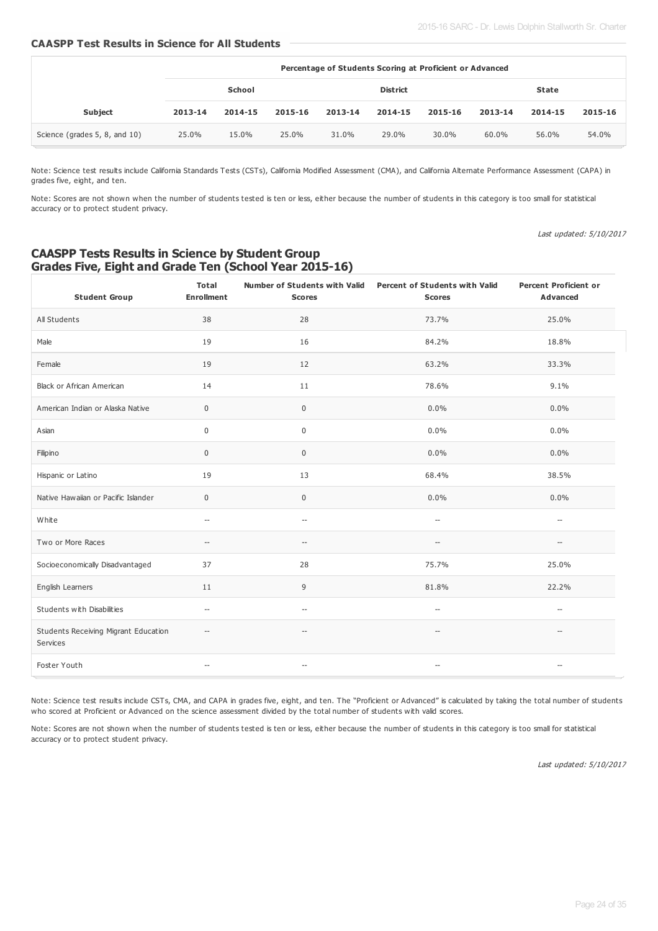# **CAASPP Test Results in Science for All Students**

|                               | Percentage of Students Scoring at Proficient or Advanced |         |         |                 |         |         |         |         |         |
|-------------------------------|----------------------------------------------------------|---------|---------|-----------------|---------|---------|---------|---------|---------|
|                               | School                                                   |         |         | <b>District</b> |         |         | State   |         |         |
| <b>Subject</b>                | 2013-14                                                  | 2014-15 | 2015-16 | 2013-14         | 2014-15 | 2015-16 | 2013-14 | 2014-15 | 2015-16 |
| Science (grades 5, 8, and 10) | 25.0%                                                    | 15.0%   | 25.0%   | 31.0%           | 29.0%   | 30.0%   | 60.0%   | 56.0%   | 54.0%   |

Note: Science test results include California Standards Tests (CSTs), California Modified Assessment (CMA), and California Alternate Performance Assessment (CAPA) in grades five, eight, and ten.

Note: Scores are not shown when the number of students tested is ten or less, either because the number of students in this category is too small for statistical accuracy or to protect student privacy.

Last updated: 5/10/2017

# **CAASPP Tests Results in Science by Student Group Grades Five, Eight and Grade Ten (School Year 2015-16)**

| <b>Student Group</b>                             | <b>Total</b><br><b>Enrollment</b>                   | <b>Scores</b>                                       | Number of Students with Valid  Percent of Students with Valid<br><b>Scores</b> | <b>Percent Proficient or</b><br>Advanced            |
|--------------------------------------------------|-----------------------------------------------------|-----------------------------------------------------|--------------------------------------------------------------------------------|-----------------------------------------------------|
| All Students                                     | 38                                                  | 28                                                  | 73.7%                                                                          | 25.0%                                               |
| Male                                             | 19                                                  | 16                                                  | 84.2%                                                                          | 18.8%                                               |
| Female                                           | 19                                                  | 12                                                  | 63.2%                                                                          | 33.3%                                               |
| <b>Black or African American</b>                 | 14                                                  | 11                                                  | 78.6%                                                                          | 9.1%                                                |
| American Indian or Alaska Native                 | $\mathsf{O}\xspace$                                 | $\mathsf{O}\xspace$                                 | 0.0%                                                                           | 0.0%                                                |
| Asian                                            | 0                                                   | $\pmb{0}$                                           | 0.0%                                                                           | 0.0%                                                |
| Filipino                                         | $\mathbf 0$                                         | 0                                                   | $0.0\%$                                                                        | $0.0\%$                                             |
| Hispanic or Latino                               | 19                                                  | 13                                                  | 68.4%                                                                          | 38.5%                                               |
| Native Hawaiian or Pacific Islander              | 0                                                   | 0                                                   | 0.0%                                                                           | 0.0%                                                |
| White                                            | $\overline{\phantom{a}}$                            | $\hspace{0.05cm} -\hspace{0.05cm} -\hspace{0.05cm}$ | $\overline{\phantom{a}}$                                                       | $\overline{\phantom{a}}$                            |
| Two or More Races                                | $\hspace{0.05cm} -\hspace{0.05cm} -\hspace{0.05cm}$ | $\hspace{0.05cm} -\hspace{0.05cm} -\hspace{0.05cm}$ | $\hspace{0.05cm} -\hspace{0.05cm} -\hspace{0.05cm}$                            | $\overline{\phantom{a}}$                            |
| Socioeconomically Disadvantaged                  | 37                                                  | 28                                                  | 75.7%                                                                          | 25.0%                                               |
| English Learners                                 | 11                                                  | 9                                                   | 81.8%                                                                          | 22.2%                                               |
| Students with Disabilities                       | $-\!$                                               | $\hspace{0.05cm} \ldots$                            | $-\!$                                                                          | $\hspace{0.05cm} -\hspace{0.05cm} -\hspace{0.05cm}$ |
| Students Receiving Migrant Education<br>Services | $\overline{\phantom{a}}$                            | $\hspace{0.05cm} -\hspace{0.05cm} -\hspace{0.05cm}$ | $\hspace{0.05cm} -\hspace{0.05cm} -\hspace{0.05cm}$                            | $-\!$                                               |
| Foster Youth                                     | $-\!$                                               | $\hspace{0.05cm} -\hspace{0.05cm} -\hspace{0.05cm}$ | $\hspace{0.05cm} -\hspace{0.05cm} -\hspace{0.05cm}$                            | $\hspace{0.05cm} -\hspace{0.05cm} -\hspace{0.05cm}$ |

Note: Science test results include CSTs, CMA, and CAPA in grades five, eight, and ten. The "Proficient or Advanced" is calculated by taking the total number of students who scored at Proficient or Advanced on the science assessment divided by the total number of students with valid scores.

Note: Scores are not shown when the number of students tested is ten or less, either because the number of students in this category is too small for statistical accuracy or to protect student privacy.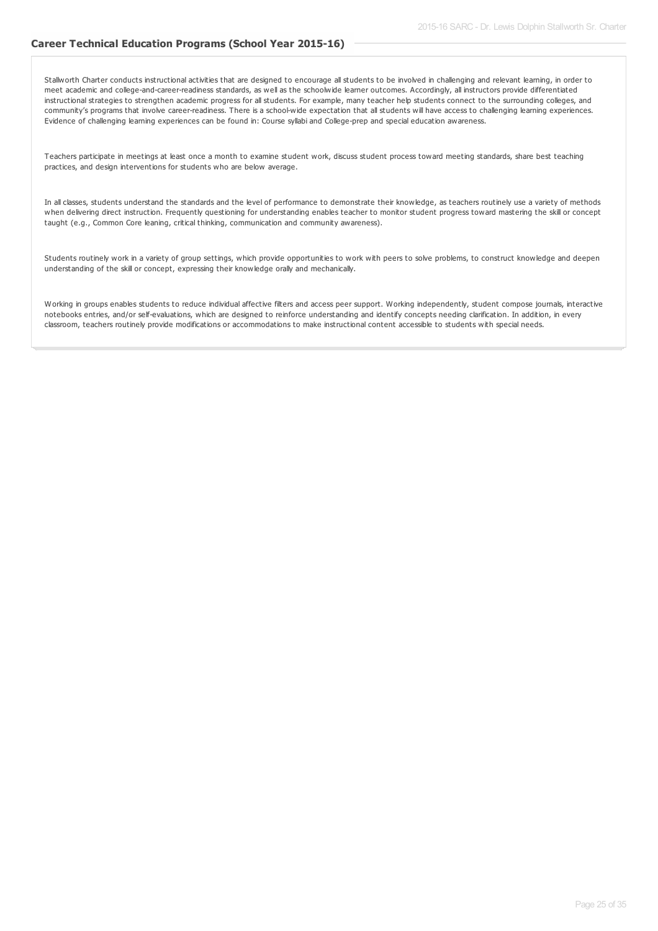# **Career Technical Education Programs (School Year 2015-16)**

Stallworth Charter conducts instructional activities that are designed to encourage all students to be involved in challenging and relevant learning, in order to meet academic and college-and-career-readiness standards, as well as the schoolwide learner outcomes. Accordingly, all instructors provide differentiated instructional strategies to strengthen academic progress for all students. For example, many teacher help students connect to the surrounding colleges, and community's programs that involve career-readiness. There is a school-wide expectation that all students will have access to challenging learning experiences. Evidence of challenging learning experiences can be found in: Course syllabi and College-prep and special education awareness.

Teachers participate in meetings at least once a month to examine student work, discuss student process toward meeting standards, share best teaching practices, and design interventions for students who are below average.

In all classes, students understand the standards and the level of performance to demonstrate their knowledge, as teachers routinely use a variety of methods when delivering direct instruction. Frequently questioning for understanding enables teacher to monitor student progress toward mastering the skill or concept taught (e.g., Common Core leaning, critical thinking, communication and community awareness).

Students routinely work in a variety of group settings, which provide opportunities to work with peers to solve problems, to construct knowledge and deepen understanding of the skill or concept, expressing their knowledge orally and mechanically.

Working in groups enables students to reduce individual affective filters and access peer support. Working independently, student compose journals, interactive notebooks entries, and/or self-evaluations, which are designed to reinforce understanding and identify concepts needing clarification. In addition, in every classroom, teachers routinely provide modifications or accommodations to make instructional content accessible to students with special needs.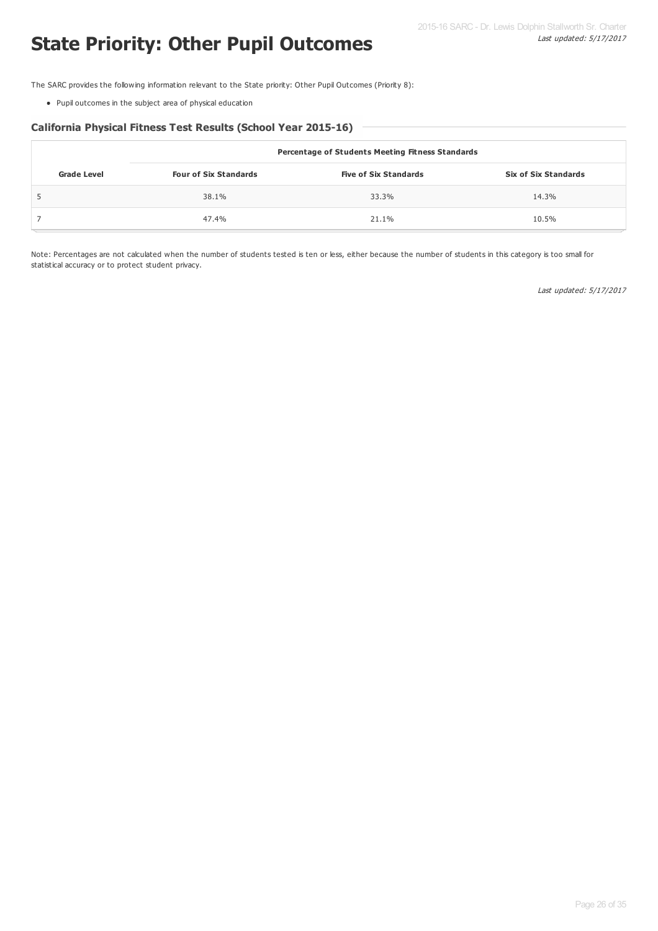The SARC provides the following information relevant to the State priority: Other Pupil Outcomes (Priority 8):

Pupil outcomes in the subject area of physical education

# **California Physical Fitness Test Results (School Year 2015-16)**

|                    | Percentage of Students Meeting Fitness Standards |                              |                             |  |  |  |  |  |
|--------------------|--------------------------------------------------|------------------------------|-----------------------------|--|--|--|--|--|
| <b>Grade Level</b> | <b>Four of Six Standards</b>                     | <b>Five of Six Standards</b> | <b>Six of Six Standards</b> |  |  |  |  |  |
|                    | 38.1%                                            | 33.3%                        | 14.3%                       |  |  |  |  |  |
|                    | 47.4%                                            | 21.1%                        | 10.5%                       |  |  |  |  |  |

Note: Percentages are not calculated when the number of students tested is ten or less, either because the number of students in this category is too small for statistical accuracy or to protect student privacy.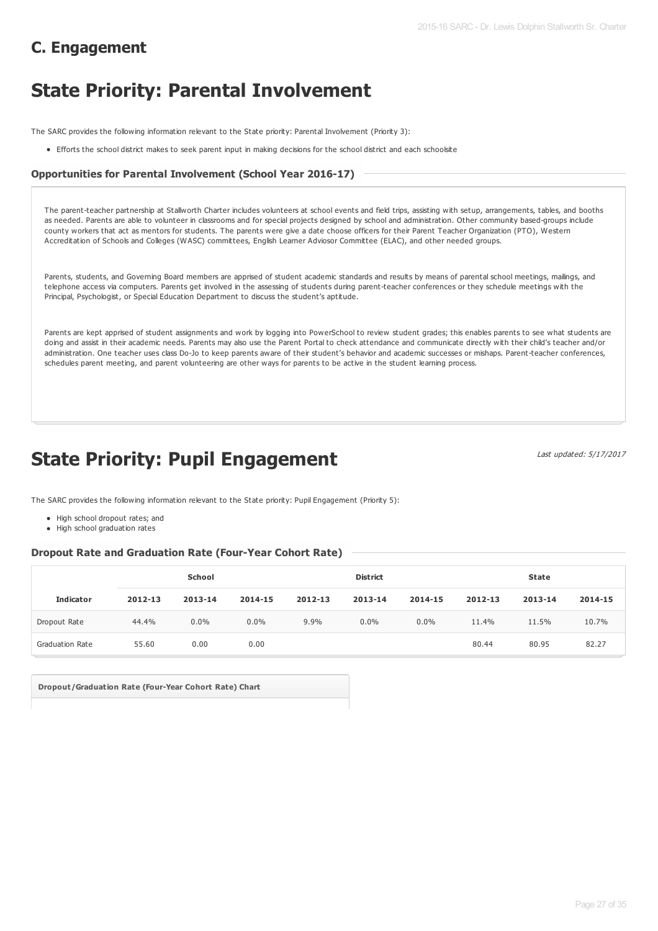# **C. Engagement**

# **State Priority: Parental Involvement**

The SARC provides the following information relevant to the State priority: Parental Involvement (Priority 3):

Efforts the school district makes to seek parent input in making decisions for the school district and each schoolsite

# **Opportunities for Parental Involvement (School Year 2016-17)**

The parent-teacher partnership at Stallworth Charter includes volunteers at school events and field trips, assisting with setup, arrangements, tables, and booths as needed. Parents are able to volunteer in classrooms and for special projects designed by school and administration. Other community based-groups include county workers that act as mentors for students. The parents were give a date choose officers for their Parent Teacher Organization (PTO), Western Accreditation of Schools and Colleges (WASC) committees, English Learner Adviosor Committee (ELAC), and other needed groups.

Parents, students, and Governing Board members are apprised of student academic standards and results by means of parental school meetings, mailings, and telephone access via computers. Parents get involved in the assessing of students during parent-teacher conferences or they schedule meetings with the Principal, Psychologist, or Special Education Department to discuss the student's aptitude.

Parents are kept apprised of student assignments and work by logging into PowerSchool to review student grades; this enables parents to see what students are doing and assist in their academic needs. Parents may also use the Parent Portal to check attendance and communicate directly with their child's teacher and/or administration. One teacher uses class Do-Jo to keep parents aware of their student's behavior and academic successes or mishaps. Parent-teacher conferences, schedules parent meeting, and parent volunteering are other ways for parents to be active in the student learning process.

# **State Priority: Pupil Engagement**

Last updated: 5/17/2017

The SARC provides the following information relevant to the State priority: Pupil Engagement (Priority 5):

- High school dropout rates; and
- High school graduation rates

# **Dropout Rate and Graduation Rate (Four-Year Cohort Rate)**

|                        | School  |         |         |         | <b>District</b> |         |         | <b>State</b> |         |  |
|------------------------|---------|---------|---------|---------|-----------------|---------|---------|--------------|---------|--|
| <b>Indicator</b>       | 2012-13 | 2013-14 | 2014-15 | 2012-13 | 2013-14         | 2014-15 | 2012-13 | 2013-14      | 2014-15 |  |
| Dropout Rate           | 44.4%   | $0.0\%$ | $0.0\%$ | 9.9%    | $0.0\%$         | $0.0\%$ | 11.4%   | 11.5%        | 10.7%   |  |
| <b>Graduation Rate</b> | 55.60   | 0.00    | 0.00    |         |                 |         | 80.44   | 80.95        | 82.27   |  |

**Dropout/Graduation Rate (Four-Year Cohort Rate) Chart**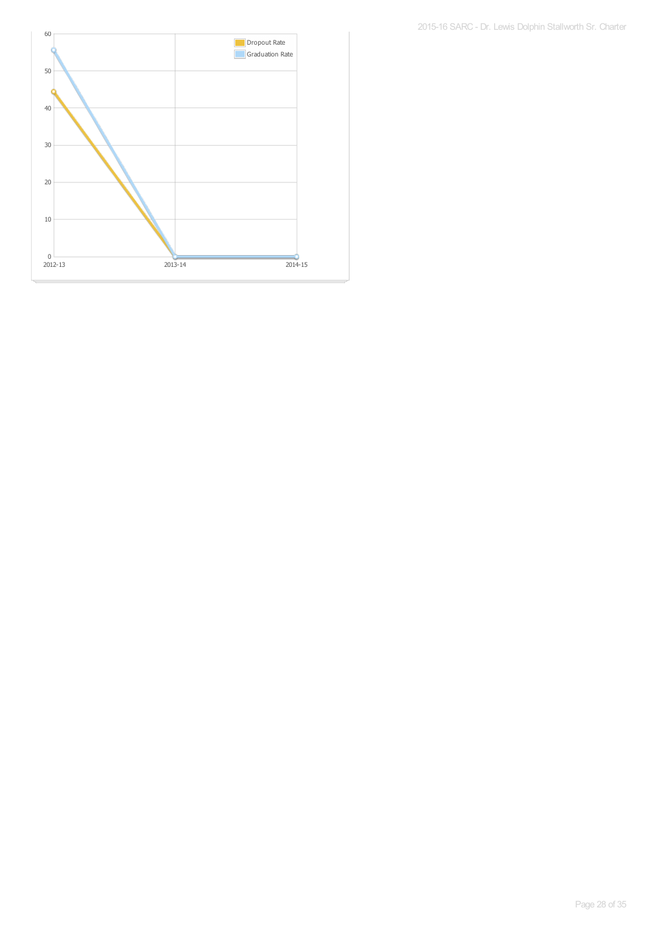60 **Dropout Rate** Ć Graduation Rate 50 k 40 30 20 10  $\frac{0}{2012-13}$ 2012-13 2013-14 2014-15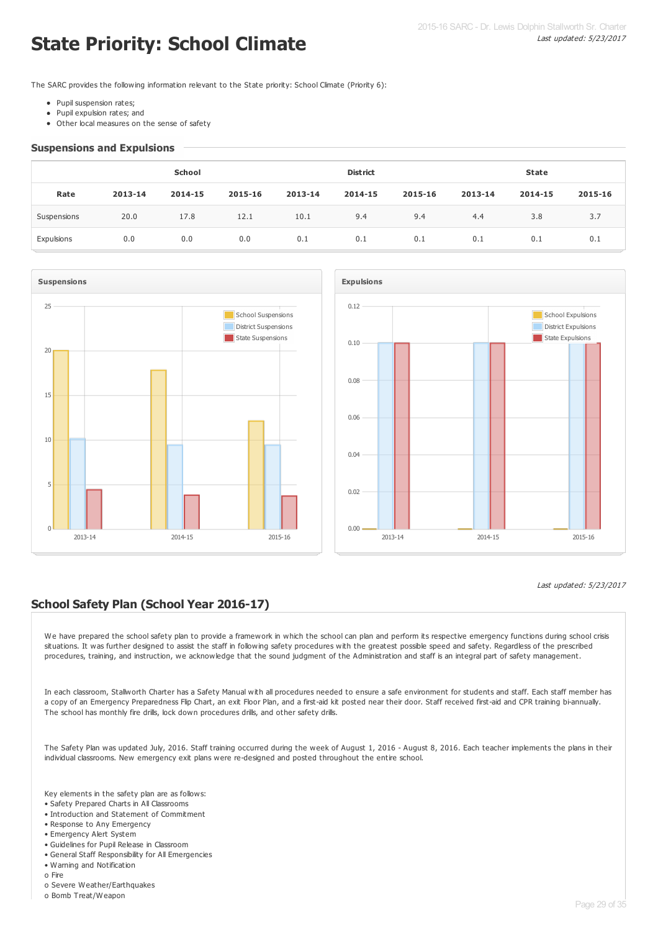# **State Priority: School Climate**

The SARC provides the following information relevant to the State priority: School Climate (Priority 6):

- Pupil suspension rates;
- Pupil expulsion rates; and
- Other local measures on the sense of safety

### **Suspensions and Expulsions**

| School      |         |         |         |         | <b>District</b> |         |         | <b>State</b> |         |  |
|-------------|---------|---------|---------|---------|-----------------|---------|---------|--------------|---------|--|
| Rate        | 2013-14 | 2014-15 | 2015-16 | 2013-14 | 2014-15         | 2015-16 | 2013-14 | 2014-15      | 2015-16 |  |
| Suspensions | 20.0    | 17.8    | 12.1    | 10.1    | 9.4             | 9.4     | 4.4     | 3.8          | 3.7     |  |
| Expulsions  | 0.0     | 0.0     | 0.0     | 0.1     | 0.1             | 0.1     | 0.1     | 0.1          | 0.1     |  |





# Last updated: 5/23/2017

# **School Safety Plan (School Year 2016-17)**

We have prepared the school safety plan to provide a framework in which the school can plan and perform its respective emergency functions during school crisis situations. It was further designed to assist the staff in following safety procedures with the greatest possible speed and safety. Regardless of the prescribed procedures, training, and instruction, we acknowledge that the sound judgment of the Administration and staff is an integral part of safety management.

In each classroom, Stallworth Charter has a Safety Manual with all procedures needed to ensure a safe environment for students and staff. Each staff member has a copy of an Emergency Preparedness Flip Chart, an exit Floor Plan, and a first-aid kit posted near their door. Staff received first-aid and CPR training bi-annually. The school has monthly fire drills, lock down procedures drills, and other safety drills.

The Safety Plan was updated July, 2016. Staff training occurred during the week of August 1, 2016 - August 8, 2016. Each teacher implements the plans in their individual classrooms. New emergency exit plans were re-designed and posted throughout the entire school.

Key elements in the safety plan are as follows:

- Safety Prepared Charts in All Classrooms
- Introduction and Statement of Commitment
- Response to Any Emergency
- Emergency Alert System
- Guidelines for Pupil Release in Classroom • General Staff Responsibility for All Emergencies
- Warning and Notification
- o Fire
- o Severe Weather/Earthquakes
- o Bomb Treat/Weapon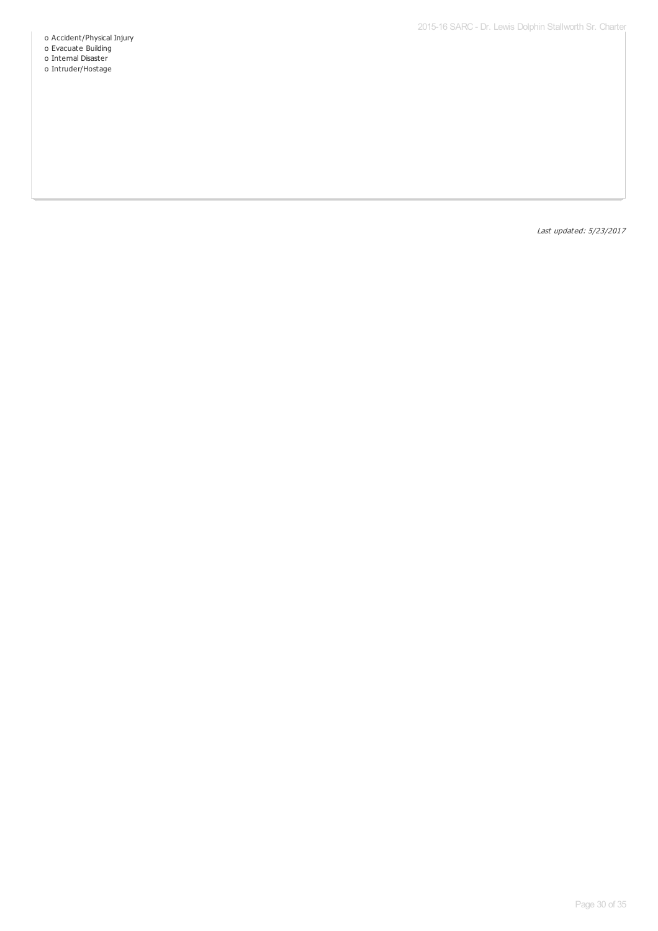- o Accident/Physical Injury
- o Evacuate Building
- o Internal Disaster
- o Intruder/Hostage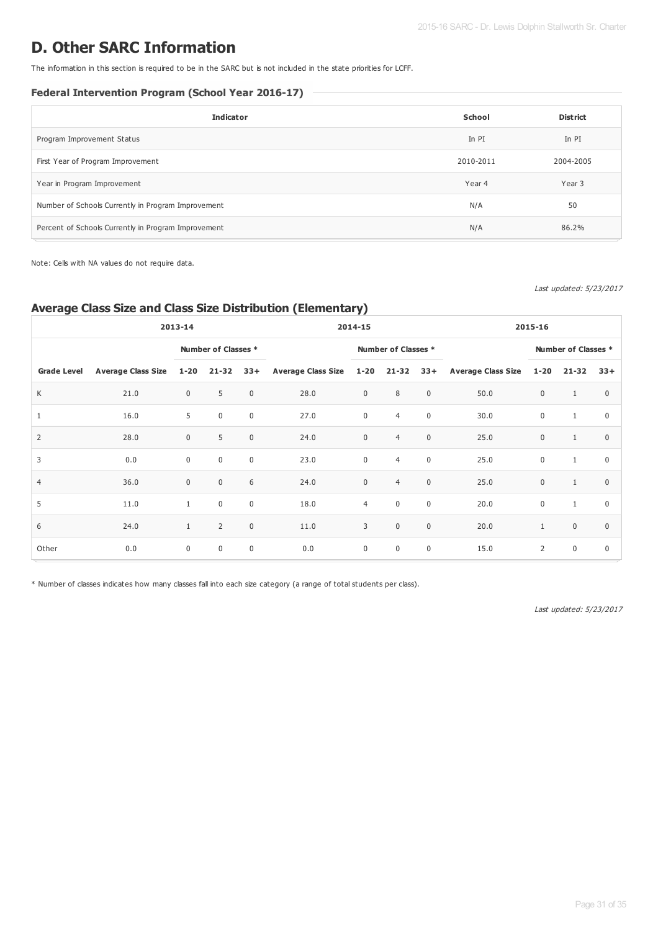# **D. Other SARC Information**

The information in this section is required to be in the SARC but is not included in the state priorities for LCFF.

# **Federal Intervention Program (School Year 2016-17)**

| <b>Indicator</b>                                    | School    | <b>District</b> |
|-----------------------------------------------------|-----------|-----------------|
| Program Improvement Status                          | In PI     | In PI           |
| First Year of Program Improvement                   | 2010-2011 | 2004-2005       |
| Year in Program Improvement                         | Year 4    | Year 3          |
| Number of Schools Currently in Program Improvement  | N/A       | 50              |
| Percent of Schools Currently in Program Improvement | N/A       | 86.2%           |

Note: Cells with NA values do not require data.

Last updated: 5/23/2017

# **Average Class Size and Class Size Distribution (Elementary)**

| 2013-14            |                           |              | 2014-15             |             |                               | 2015-16        |                     |             |                           |                |                     |                |
|--------------------|---------------------------|--------------|---------------------|-------------|-------------------------------|----------------|---------------------|-------------|---------------------------|----------------|---------------------|----------------|
|                    |                           |              | Number of Classes * |             |                               |                | Number of Classes * |             |                           |                | Number of Classes * |                |
| <b>Grade Level</b> | <b>Average Class Size</b> | $1 - 20$     | 21-32               | $33+$       | Average Class Size 1-20 21-32 |                |                     | $33+$       | <b>Average Class Size</b> | $1 - 20$       | $21 - 32$           | $33+$          |
| K                  | 21.0                      | $\mathbf 0$  | 5                   | $\mathbf 0$ | 28.0                          | $\mathbf 0$    | 8                   | $\mathbf 0$ | 50.0                      | $\mathbf 0$    | $\mathbf{1}$        | $\mathbf{0}$   |
| 1                  | 16.0                      | 5            | $\mathbf 0$         | $\mathbf 0$ | 27.0                          | $\mathbf 0$    | $\overline{4}$      | $\mathbf 0$ | 30.0                      | $\mathbf 0$    | $\mathbf{1}$        | $\mathbf 0$    |
| $\overline{2}$     | 28.0                      | $\mathbf 0$  | 5                   | $\mathbf 0$ | 24.0                          | $\mathbf 0$    | $\overline{4}$      | $\mathbf 0$ | 25.0                      | $\mathbf 0$    | $\mathbf{1}$        | $\Omega$       |
| 3                  | 0.0                       | $\mathbf 0$  | $\mathbf 0$         | $\mathbf 0$ | 23.0                          | $\mathbf 0$    | $\overline{4}$      | $\mathbf 0$ | 25.0                      | $\pmb{0}$      | $\mathbf{1}$        | $\mathbf 0$    |
| $\overline{4}$     | 36.0                      | $\mathbf 0$  | $\mathbf 0$         | 6           | 24.0                          | $\mathbf 0$    | $\overline{4}$      | $\mathbf 0$ | 25.0                      | $\pmb{0}$      | $\mathbf{1}$        | $\mathbf{0}$   |
| 5                  | 11.0                      | $\mathbf{1}$ | $\mathbf 0$         | $\mathbf 0$ | 18.0                          | $\overline{4}$ | $\mathbf 0$         | $\mathbf 0$ | 20.0                      | $\mathbf 0$    | $\mathbf{1}$        | $\overline{0}$ |
| 6                  | 24.0                      | $\mathbf{1}$ | $\overline{2}$      | $\mathbf 0$ | 11.0                          | 3              | $\mathbf 0$         | $\mathbf 0$ | 20.0                      | $\mathbf{1}$   | $\mathbf 0$         | $\Omega$       |
| Other              | 0.0                       | $\mathbf 0$  | 0                   | $\mathbf 0$ | 0.0                           | $\mathbf 0$    | $\mathbf 0$         | $\mathbf 0$ | 15.0                      | $\overline{2}$ | $\mathbf 0$         | $\mathbf 0$    |

\* Number of classes indicates how many classes fall into each size category (a range of total students per class).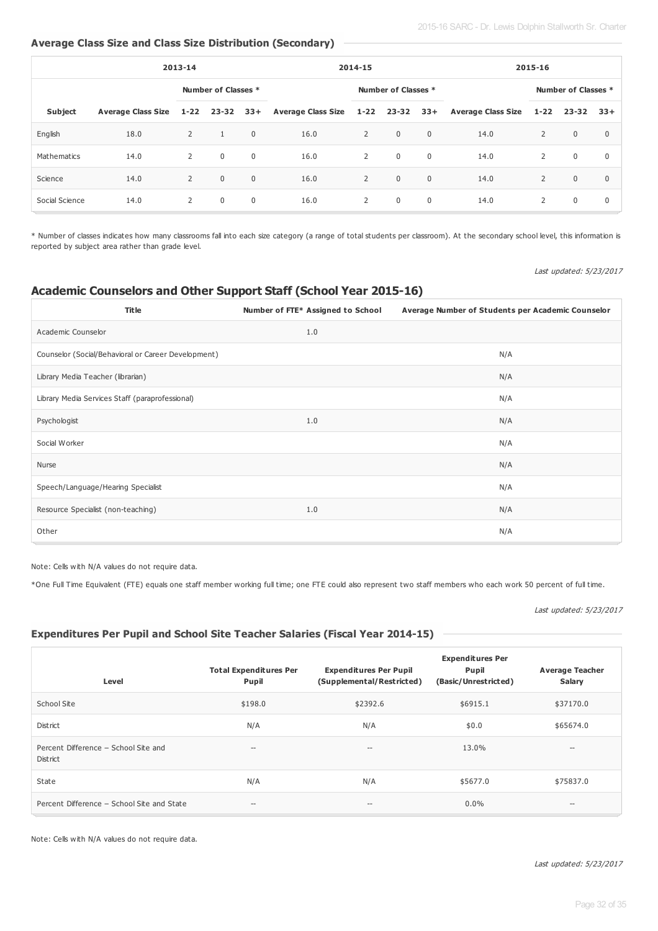# **Average Class Size and Class Size Distribution (Secondary)**

| 2013-14        |                           |                     |              |             | 2014-15                                 |   |                | 2015-16        |                        |                |                     |             |
|----------------|---------------------------|---------------------|--------------|-------------|-----------------------------------------|---|----------------|----------------|------------------------|----------------|---------------------|-------------|
|                |                           | Number of Classes * |              |             | Number of Classes *                     |   |                |                |                        |                | Number of Classes * |             |
| <b>Subject</b> | <b>Average Class Size</b> | $1 - 22$            |              |             | 23-32 33+ Average Class Size 1-22 23-32 |   |                |                | 33+ Average Class Size | $1 - 22$       | 23-32               | $33+$       |
| English        | 18.0                      | $\overline{2}$      | $\mathbf{1}$ | $\mathbf 0$ | 16.0                                    | 2 | $\overline{0}$ | $\overline{0}$ | 14.0                   | $\overline{2}$ | $\overline{0}$      | $\mathbf 0$ |
| Mathematics    | 14.0                      | $\overline{2}$      | $\mathbf 0$  | $\mathbf 0$ | 16.0                                    | 2 | $\mathbf 0$    | 0              | 14.0                   | 2              | $\mathbf 0$         | $\mathbf 0$ |
| Science        | 14.0                      | $\overline{2}$      | $\mathbf 0$  | $\mathbf 0$ | 16.0                                    | 2 | $\mathbf 0$    | $\mathbf 0$    | 14.0                   | 2              | $\overline{0}$      | $\mathbf 0$ |
| Social Science | 14.0                      | 2                   | $\mathbf 0$  | $\mathbf 0$ | 16.0                                    | 2 | $\overline{0}$ | $\overline{0}$ | 14.0                   | 2              | $\overline{0}$      | $\mathbf 0$ |

\* Number of classes indicates how many classrooms fall into each size category (a range of total students per classroom). At the secondary school level, this information is reported by subject area rather than grade level.

# Last updated: 5/23/2017

# **Academic Counselors and Other Support Staff (School Year 2015-16)**

| <b>Title</b>                                        | Number of FTE* Assigned to School | Average Number of Students per Academic Counselor |
|-----------------------------------------------------|-----------------------------------|---------------------------------------------------|
| Academic Counselor                                  | 1.0                               |                                                   |
| Counselor (Social/Behavioral or Career Development) |                                   | N/A                                               |
| Library Media Teacher (librarian)                   |                                   | N/A                                               |
| Library Media Services Staff (paraprofessional)     |                                   | N/A                                               |
| Psychologist                                        | 1.0                               | N/A                                               |
| Social Worker                                       |                                   | N/A                                               |
| Nurse                                               |                                   | N/A                                               |
| Speech/Language/Hearing Specialist                  |                                   | N/A                                               |
| Resource Specialist (non-teaching)                  | 1.0                               | N/A                                               |
| Other                                               |                                   | N/A                                               |

Note: Cells with N/A values do not require data.

\*One Full Time Equivalent (FTE) equals one staff member working full time; one FTE could also represent two staff members who each work 50 percent of full time.

#### Last updated: 5/23/2017

# **Expenditures Per Pupil and School Site Teacher Salaries (Fiscal Year 2014-15)**

| Level                                            | <b>Total Expenditures Per</b><br>Pupil | <b>Expenditures Per Pupil</b><br>(Supplemental/Restricted) | <b>Expenditures Per</b><br>Pupil<br>(Basic/Unrestricted) | <b>Average Teacher</b><br>Salary |
|--------------------------------------------------|----------------------------------------|------------------------------------------------------------|----------------------------------------------------------|----------------------------------|
| School Site                                      | \$198.0                                | \$2392.6                                                   | \$6915.1                                                 | \$37170.0                        |
| District                                         | N/A                                    | N/A                                                        | \$0.0                                                    | \$65674.0                        |
| Percent Difference - School Site and<br>District | $-\!$                                  | $\qquad \qquad -$                                          | 13.0%                                                    | $-\!$                            |
| State                                            | N/A                                    | N/A                                                        | \$5677.0                                                 | \$75837.0                        |
| Percent Difference - School Site and State       | $- -$                                  | $\qquad \qquad -$                                          | $0.0\%$                                                  | $-\, -$                          |

Note: Cells with N/A values do not require data.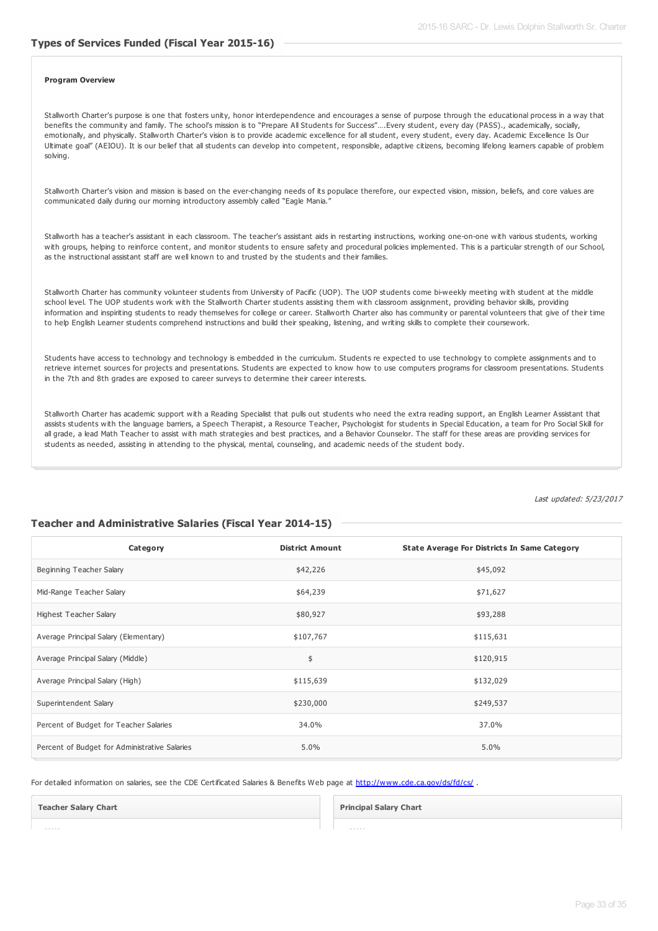## **Types of Services Funded (Fiscal Year 2015-16)**

#### **Program Overview**

Stallworth Charter's purpose is one that fosters unity, honor interdependence and encourages a sense of purpose through the educational process in a way that benefits the community and family. The school's mission is to "Prepare All Students for Success"….Every student, every day (PASS)., academically, socially, emotionally, and physically. Stallworth Charter's vision is to provide academic excellence for all student, every student, every day. Academic Excellence Is Our Ultimate goal" (AEIOU). It is our belief that all students can develop into competent, responsible, adaptive citizens, becoming lifelong learners capable of problem solving.

Stallworth Charter's vision and mission is based on the ever-changing needs of its populace therefore, our expected vision, mission, beliefs, and core values are communicated daily during our morning introductory assembly called "Eagle Mania."

Stallworth has a teacher's assistant in each classroom. The teacher's assistant aids in restarting instructions, working one-on-one with various students, working with groups, helping to reinforce content, and monitor students to ensure safety and procedural policies implemented. This is a particular strength of our School, as the instructional assistant staff are well known to and trusted by the students and their families.

Stallworth Charter has community volunteer students from University of Pacific (UOP). The UOP students come bi-weekly meeting with student at the middle school level. The UOP students work with the Stallworth Charter students assisting them with classroom assignment, providing behavior skills, providing information and inspiriting students to ready themselves for college or career. Stallworth Charter also has community or parental volunteers that give of their time to help English Learner students comprehend instructions and build their speaking, listening, and writing skills to complete their coursework.

Students have access to technology and technology is embedded in the curriculum. Students re expected to use technology to complete assignments and to retrieve internet sources for projects and presentations. Students are expected to know how to use computers programs for classroom presentations. Students in the 7th and 8th grades are exposed to career surveys to determine their career interests.

Stallworth Charter has academic support with a Reading Specialist that pulls out students who need the extra reading support, an English Learner Assistant that assists students with the language barriers, a Speech Therapist, a Resource Teacher, Psychologist for students in Special Education, a team for Pro Social Skill for all grade, a lead Math Teacher to assist with math strategies and best practices, and a Behavior Counselor. The staff for these areas are providing services for students as needed, assisting in attending to the physical, mental, counseling, and academic needs of the student body.

Last updated: 5/23/2017

#### **Teacher and Administrative Salaries (Fiscal Year 2014-15)**

| Category                                      | <b>District Amount</b> | <b>State Average For Districts In Same Category</b> |
|-----------------------------------------------|------------------------|-----------------------------------------------------|
| Beginning Teacher Salary                      | \$42,226               | \$45,092                                            |
| Mid-Range Teacher Salary                      | \$64,239               | \$71,627                                            |
| <b>Highest Teacher Salary</b>                 | \$80,927               | \$93,288                                            |
| Average Principal Salary (Elementary)         | \$107,767              | \$115,631                                           |
| Average Principal Salary (Middle)             | \$                     | \$120,915                                           |
| Average Principal Salary (High)               | \$115,639              | \$132,029                                           |
| Superintendent Salary                         | \$230,000              | \$249,537                                           |
| Percent of Budget for Teacher Salaries        | 34.0%                  | 37.0%                                               |
| Percent of Budget for Administrative Salaries | 5.0%                   | 5.0%                                                |

For detailed information on salaries, see the CDE Certificated Salaries & Benefits Web page at <http://www.cde.ca.gov/ds/fd/cs/>.

**Teacher Salary Chart**

**Principal Salary Chart**

90000

120000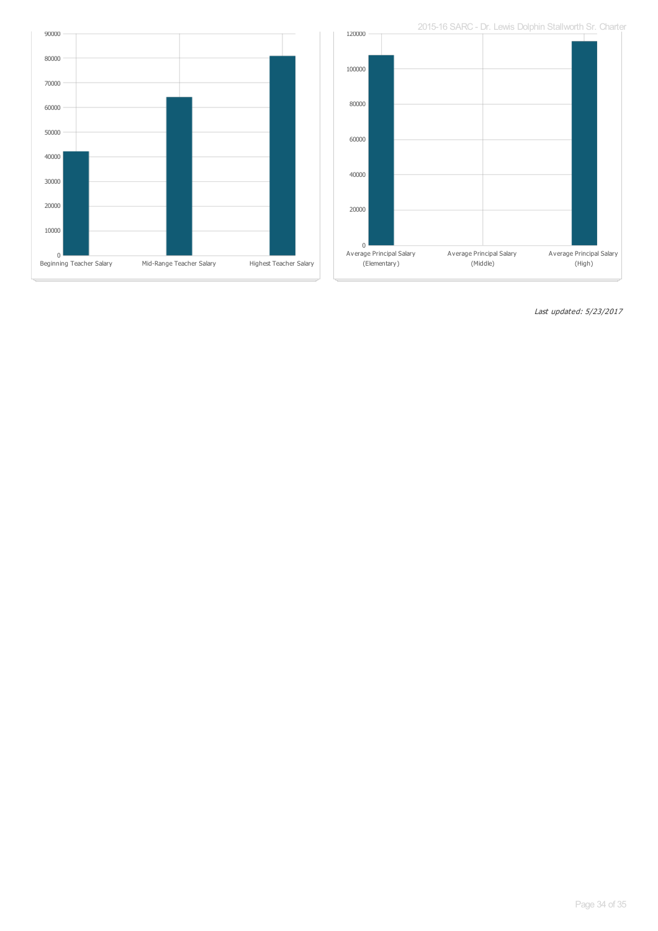